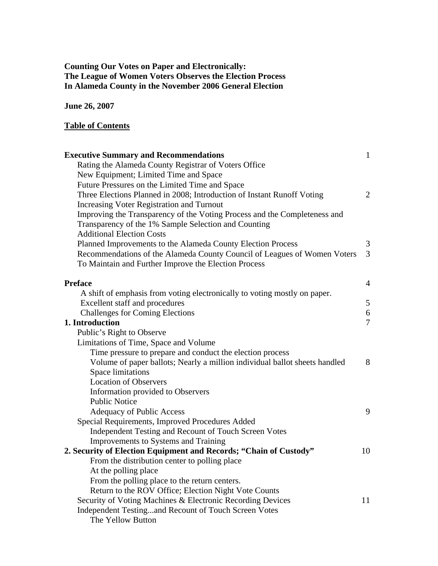## **Counting Our Votes on Paper and Electronically: The League of Women Voters Observes the Election Process In Alameda County in the November 2006 General Election**

**June 26, 2007** 

### **Table of Contents**

| <b>Executive Summary and Recommendations</b>                               | $\mathbf{1}$   |
|----------------------------------------------------------------------------|----------------|
| Rating the Alameda County Registrar of Voters Office                       |                |
| New Equipment; Limited Time and Space                                      |                |
| Future Pressures on the Limited Time and Space                             |                |
| Three Elections Planned in 2008; Introduction of Instant Runoff Voting     | $\overline{2}$ |
| Increasing Voter Registration and Turnout                                  |                |
| Improving the Transparency of the Voting Process and the Completeness and  |                |
| Transparency of the 1% Sample Selection and Counting                       |                |
| <b>Additional Election Costs</b>                                           |                |
| Planned Improvements to the Alameda County Election Process                | 3              |
| Recommendations of the Alameda County Council of Leagues of Women Voters   | $\overline{3}$ |
| To Maintain and Further Improve the Election Process                       |                |
| <b>Preface</b>                                                             | 4              |
| A shift of emphasis from voting electronically to voting mostly on paper.  |                |
| Excellent staff and procedures                                             | 5              |
| <b>Challenges for Coming Elections</b>                                     | 6              |
| 1. Introduction                                                            | $\overline{7}$ |
| Public's Right to Observe                                                  |                |
| Limitations of Time, Space and Volume                                      |                |
| Time pressure to prepare and conduct the election process                  |                |
| Volume of paper ballots; Nearly a million individual ballot sheets handled | 8              |
| <b>Space limitations</b>                                                   |                |
| <b>Location of Observers</b>                                               |                |
| Information provided to Observers                                          |                |
| <b>Public Notice</b>                                                       |                |
| Adequacy of Public Access                                                  | 9              |
| Special Requirements, Improved Procedures Added                            |                |
| Independent Testing and Recount of Touch Screen Votes                      |                |
| Improvements to Systems and Training                                       |                |
| 2. Security of Election Equipment and Records; "Chain of Custody"          | 10             |
| From the distribution center to polling place                              |                |
| At the polling place                                                       |                |
| From the polling place to the return centers.                              |                |
| Return to the ROV Office; Election Night Vote Counts                       |                |
| Security of Voting Machines & Electronic Recording Devices                 | 11             |
| Independent Testingand Recount of Touch Screen Votes                       |                |
| The Yellow Button                                                          |                |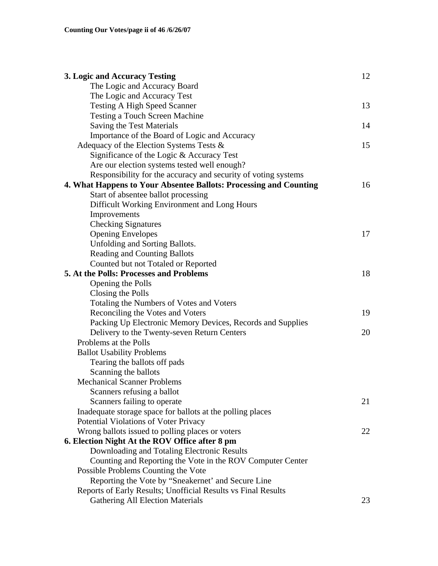| 3. Logic and Accuracy Testing                                     | 12 |
|-------------------------------------------------------------------|----|
| The Logic and Accuracy Board                                      |    |
| The Logic and Accuracy Test                                       |    |
| <b>Testing A High Speed Scanner</b>                               | 13 |
| <b>Testing a Touch Screen Machine</b>                             |    |
| Saving the Test Materials                                         | 14 |
| Importance of the Board of Logic and Accuracy                     |    |
| Adequacy of the Election Systems Tests $\&$                       | 15 |
| Significance of the Logic & Accuracy Test                         |    |
| Are our election systems tested well enough?                      |    |
| Responsibility for the accuracy and security of voting systems    |    |
| 4. What Happens to Your Absentee Ballots: Processing and Counting | 16 |
| Start of absentee ballot processing                               |    |
| Difficult Working Environment and Long Hours                      |    |
| Improvements                                                      |    |
| <b>Checking Signatures</b>                                        |    |
| <b>Opening Envelopes</b>                                          | 17 |
| Unfolding and Sorting Ballots.                                    |    |
| <b>Reading and Counting Ballots</b>                               |    |
| Counted but not Totaled or Reported                               |    |
| 5. At the Polls: Processes and Problems                           | 18 |
| Opening the Polls                                                 |    |
| Closing the Polls                                                 |    |
| Totaling the Numbers of Votes and Voters                          |    |
| Reconciling the Votes and Voters                                  | 19 |
| Packing Up Electronic Memory Devices, Records and Supplies        |    |
| Delivery to the Twenty-seven Return Centers                       | 20 |
| Problems at the Polls                                             |    |
| <b>Ballot Usability Problems</b>                                  |    |
| Tearing the ballots off pads                                      |    |
| Scanning the ballots                                              |    |
| <b>Mechanical Scanner Problems</b>                                |    |
| Scanners refusing a ballot                                        |    |
| Scanners failing to operate                                       | 21 |
| Inadequate storage space for ballots at the polling places        |    |
| Potential Violations of Voter Privacy                             |    |
| Wrong ballots issued to polling places or voters                  | 22 |
| 6. Election Night At the ROV Office after 8 pm                    |    |
| Downloading and Totaling Electronic Results                       |    |
| Counting and Reporting the Vote in the ROV Computer Center        |    |
| Possible Problems Counting the Vote                               |    |
| Reporting the Vote by "Sneakernet' and Secure Line                |    |
| Reports of Early Results; Unofficial Results vs Final Results     |    |
| <b>Gathering All Election Materials</b>                           | 23 |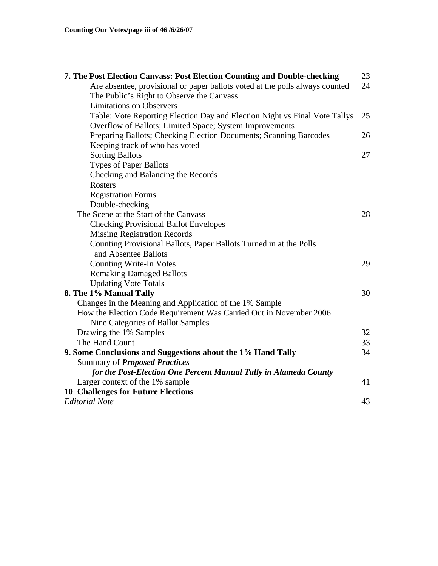| 7. The Post Election Canvass: Post Election Counting and Double-checking     | 23 |
|------------------------------------------------------------------------------|----|
| Are absentee, provisional or paper ballots voted at the polls always counted | 24 |
| The Public's Right to Observe the Canvass                                    |    |
| <b>Limitations on Observers</b>                                              |    |
| Table: Vote Reporting Election Day and Election Night vs Final Vote Tallys   | 25 |
| Overflow of Ballots; Limited Space; System Improvements                      |    |
| Preparing Ballots; Checking Election Documents; Scanning Barcodes            | 26 |
| Keeping track of who has voted                                               |    |
| <b>Sorting Ballots</b>                                                       | 27 |
| <b>Types of Paper Ballots</b>                                                |    |
| Checking and Balancing the Records                                           |    |
| <b>Rosters</b>                                                               |    |
| <b>Registration Forms</b>                                                    |    |
| Double-checking                                                              |    |
| The Scene at the Start of the Canvass                                        | 28 |
| <b>Checking Provisional Ballot Envelopes</b>                                 |    |
| <b>Missing Registration Records</b>                                          |    |
| Counting Provisional Ballots, Paper Ballots Turned in at the Polls           |    |
| and Absentee Ballots                                                         |    |
| <b>Counting Write-In Votes</b>                                               | 29 |
| <b>Remaking Damaged Ballots</b>                                              |    |
| <b>Updating Vote Totals</b>                                                  |    |
| 8. The 1% Manual Tally                                                       | 30 |
| Changes in the Meaning and Application of the 1% Sample                      |    |
| How the Election Code Requirement Was Carried Out in November 2006           |    |
| Nine Categories of Ballot Samples                                            |    |
| Drawing the 1% Samples                                                       | 32 |
| The Hand Count                                                               | 33 |
| 9. Some Conclusions and Suggestions about the 1% Hand Tally                  | 34 |
| Summary of <i>Proposed Practices</i>                                         |    |
| for the Post-Election One Percent Manual Tally in Alameda County             |    |
| Larger context of the 1% sample                                              | 41 |
| 10. Challenges for Future Elections                                          |    |
| <b>Editorial Note</b>                                                        | 43 |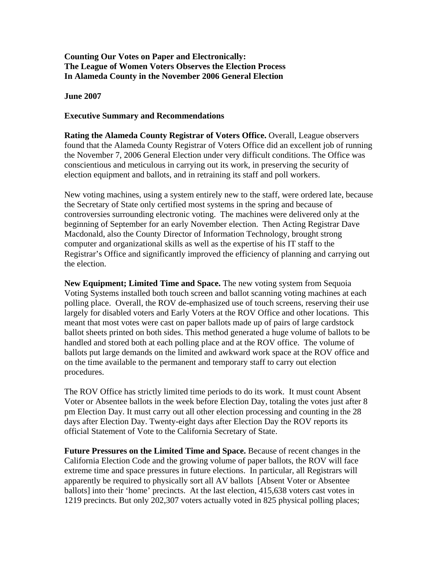### **Counting Our Votes on Paper and Electronically: The League of Women Voters Observes the Election Process In Alameda County in the November 2006 General Election**

**June 2007** 

#### **Executive Summary and Recommendations**

**Rating the Alameda County Registrar of Voters Office.** Overall, League observers found that the Alameda County Registrar of Voters Office did an excellent job of running the November 7, 2006 General Election under very difficult conditions. The Office was conscientious and meticulous in carrying out its work, in preserving the security of election equipment and ballots, and in retraining its staff and poll workers.

New voting machines, using a system entirely new to the staff, were ordered late, because the Secretary of State only certified most systems in the spring and because of controversies surrounding electronic voting. The machines were delivered only at the beginning of September for an early November election. Then Acting Registrar Dave Macdonald, also the County Director of Information Technology, brought strong computer and organizational skills as well as the expertise of his IT staff to the Registrar's Office and significantly improved the efficiency of planning and carrying out the election.

**New Equipment; Limited Time and Space.** The new voting system from Sequoia Voting Systems installed both touch screen and ballot scanning voting machines at each polling place. Overall, the ROV de-emphasized use of touch screens, reserving their use largely for disabled voters and Early Voters at the ROV Office and other locations. This meant that most votes were cast on paper ballots made up of pairs of large cardstock ballot sheets printed on both sides. This method generated a huge volume of ballots to be handled and stored both at each polling place and at the ROV office. The volume of ballots put large demands on the limited and awkward work space at the ROV office and on the time available to the permanent and temporary staff to carry out election procedures.

The ROV Office has strictly limited time periods to do its work. It must count Absent Voter or Absentee ballots in the week before Election Day, totaling the votes just after 8 pm Election Day. It must carry out all other election processing and counting in the 28 days after Election Day. Twenty-eight days after Election Day the ROV reports its official Statement of Vote to the California Secretary of State.

**Future Pressures on the Limited Time and Space.** Because of recent changes in the California Election Code and the growing volume of paper ballots, the ROV will face extreme time and space pressures in future elections. In particular, all Registrars will apparently be required to physically sort all AV ballots [Absent Voter or Absentee ballots] into their 'home' precincts. At the last election, 415,638 voters cast votes in 1219 precincts. But only 202,307 voters actually voted in 825 physical polling places;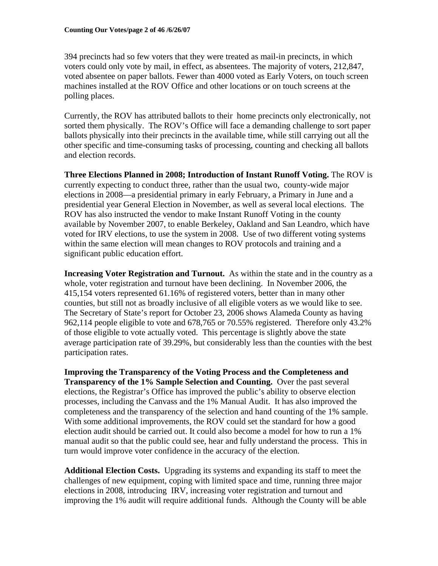394 precincts had so few voters that they were treated as mail-in precincts, in which voters could only vote by mail, in effect, as absentees. The majority of voters, 212,847, voted absentee on paper ballots. Fewer than 4000 voted as Early Voters, on touch screen machines installed at the ROV Office and other locations or on touch screens at the polling places.

Currently, the ROV has attributed ballots to their home precincts only electronically, not sorted them physically. The ROV's Office will face a demanding challenge to sort paper ballots physically into their precincts in the available time, while still carrying out all the other specific and time-consuming tasks of processing, counting and checking all ballots and election records.

**Three Elections Planned in 2008; Introduction of Instant Runoff Voting.** The ROV is currently expecting to conduct three, rather than the usual two, county-wide major elections in 2008—a presidential primary in early February, a Primary in June and a presidential year General Election in November, as well as several local elections. The ROV has also instructed the vendor to make Instant Runoff Voting in the county available by November 2007, to enable Berkeley, Oakland and San Leandro, which have voted for IRV elections, to use the system in 2008. Use of two different voting systems within the same election will mean changes to ROV protocols and training and a significant public education effort.

**Increasing Voter Registration and Turnout.** As within the state and in the country as a whole, voter registration and turnout have been declining. In November 2006, the 415,154 voters represented 61.16% of registered voters, better than in many other counties, but still not as broadly inclusive of all eligible voters as we would like to see. The Secretary of State's report for October 23, 2006 shows Alameda County as having 962,114 people eligible to vote and 678,765 or 70.55% registered. Therefore only 43.2% of those eligible to vote actually voted. This percentage is slightly above the state average participation rate of 39.29%, but considerably less than the counties with the best participation rates.

**Improving the Transparency of the Voting Process and the Completeness and Transparency of the 1% Sample Selection and Counting.** Over the past several elections, the Registrar's Office has improved the public's ability to observe election processes, including the Canvass and the 1% Manual Audit. It has also improved the completeness and the transparency of the selection and hand counting of the 1% sample. With some additional improvements, the ROV could set the standard for how a good election audit should be carried out. It could also become a model for how to run a 1% manual audit so that the public could see, hear and fully understand the process. This in turn would improve voter confidence in the accuracy of the election.

**Additional Election Costs.** Upgrading its systems and expanding its staff to meet the challenges of new equipment, coping with limited space and time, running three major elections in 2008, introducing IRV, increasing voter registration and turnout and improving the 1% audit will require additional funds. Although the County will be able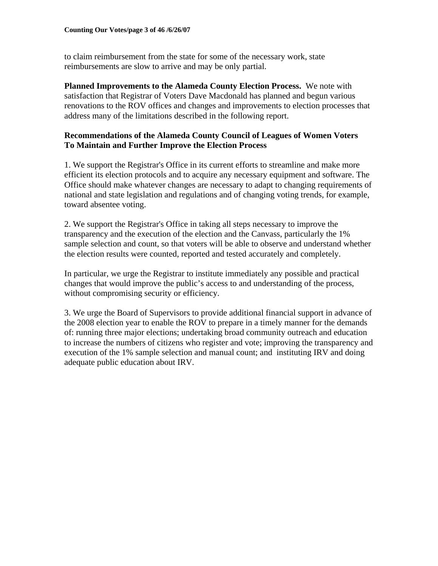to claim reimbursement from the state for some of the necessary work, state reimbursements are slow to arrive and may be only partial.

**Planned Improvements to the Alameda County Election Process.** We note with satisfaction that Registrar of Voters Dave Macdonald has planned and begun various renovations to the ROV offices and changes and improvements to election processes that address many of the limitations described in the following report.

### **Recommendations of the Alameda County Council of Leagues of Women Voters To Maintain and Further Improve the Election Process**

1. We support the Registrar's Office in its current efforts to streamline and make more efficient its election protocols and to acquire any necessary equipment and software. The Office should make whatever changes are necessary to adapt to changing requirements of national and state legislation and regulations and of changing voting trends, for example, toward absentee voting.

2. We support the Registrar's Office in taking all steps necessary to improve the transparency and the execution of the election and the Canvass, particularly the 1% sample selection and count, so that voters will be able to observe and understand whether the election results were counted, reported and tested accurately and completely.

In particular, we urge the Registrar to institute immediately any possible and practical changes that would improve the public's access to and understanding of the process, without compromising security or efficiency.

3. We urge the Board of Supervisors to provide additional financial support in advance of the 2008 election year to enable the ROV to prepare in a timely manner for the demands of: running three major elections; undertaking broad community outreach and education to increase the numbers of citizens who register and vote; improving the transparency and execution of the 1% sample selection and manual count; and instituting IRV and doing adequate public education about IRV.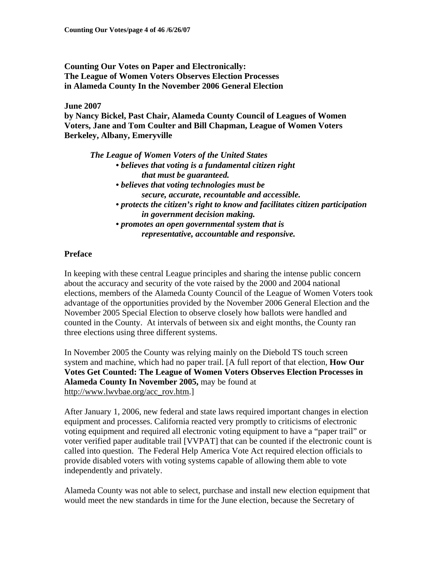**Counting Our Votes on Paper and Electronically: The League of Women Voters Observes Election Processes in Alameda County In the November 2006 General Election** 

**June 2007** 

**by Nancy Bickel, Past Chair, Alameda County Council of Leagues of Women Voters, Jane and Tom Coulter and Bill Chapman, League of Women Voters Berkeley, Albany, Emeryville** 

*The League of Women Voters of the United States • believes that voting is a fundamental citizen right that must be guaranteed. • believes that voting technologies must be secure, accurate, recountable and accessible. • protects the citizen's right to know and facilitates citizen participation in government decision making. • promotes an open governmental system that is representative, accountable and responsive.* 

### **Preface**

In keeping with these central League principles and sharing the intense public concern about the accuracy and security of the vote raised by the 2000 and 2004 national elections, members of the Alameda County Council of the League of Women Voters took advantage of the opportunities provided by the November 2006 General Election and the November 2005 Special Election to observe closely how ballots were handled and counted in the County. At intervals of between six and eight months, the County ran three elections using three different systems.

In November 2005 the County was relying mainly on the Diebold TS touch screen system and machine, which had no paper trail. [A full report of that election, **How Our Votes Get Counted: The League of Women Voters Observes Election Processes in Alameda County In November 2005,** may be found at http://www.lwvbae.org/acc\_rov.htm.]

After January 1, 2006, new federal and state laws required important changes in election equipment and processes. California reacted very promptly to criticisms of electronic voting equipment and required all electronic voting equipment to have a "paper trail" or voter verified paper auditable trail [VVPAT] that can be counted if the electronic count is called into question. The Federal Help America Vote Act required election officials to provide disabled voters with voting systems capable of allowing them able to vote independently and privately.

Alameda County was not able to select, purchase and install new election equipment that would meet the new standards in time for the June election, because the Secretary of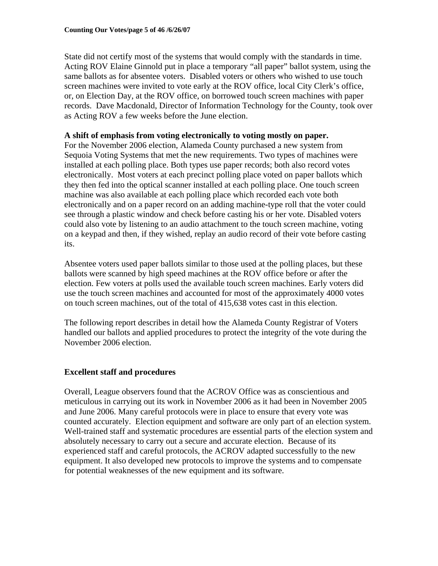State did not certify most of the systems that would comply with the standards in time. Acting ROV Elaine Ginnold put in place a temporary "all paper" ballot system, using the same ballots as for absentee voters. Disabled voters or others who wished to use touch screen machines were invited to vote early at the ROV office, local City Clerk's office, or, on Election Day, at the ROV office, on borrowed touch screen machines with paper records. Dave Macdonald, Director of Information Technology for the County, took over as Acting ROV a few weeks before the June election.

### **A shift of emphasis from voting electronically to voting mostly on paper.**

For the November 2006 election, Alameda County purchased a new system from Sequoia Voting Systems that met the new requirements. Two types of machines were installed at each polling place. Both types use paper records; both also record votes electronically. Most voters at each precinct polling place voted on paper ballots which they then fed into the optical scanner installed at each polling place. One touch screen machine was also available at each polling place which recorded each vote both electronically and on a paper record on an adding machine-type roll that the voter could see through a plastic window and check before casting his or her vote. Disabled voters could also vote by listening to an audio attachment to the touch screen machine, voting on a keypad and then, if they wished, replay an audio record of their vote before casting its.

Absentee voters used paper ballots similar to those used at the polling places, but these ballots were scanned by high speed machines at the ROV office before or after the election. Few voters at polls used the available touch screen machines. Early voters did use the touch screen machines and accounted for most of the approximately 4000 votes on touch screen machines, out of the total of 415,638 votes cast in this election.

The following report describes in detail how the Alameda County Registrar of Voters handled our ballots and applied procedures to protect the integrity of the vote during the November 2006 election.

### **Excellent staff and procedures**

Overall, League observers found that the ACROV Office was as conscientious and meticulous in carrying out its work in November 2006 as it had been in November 2005 and June 2006. Many careful protocols were in place to ensure that every vote was counted accurately. Election equipment and software are only part of an election system. Well-trained staff and systematic procedures are essential parts of the election system and absolutely necessary to carry out a secure and accurate election. Because of its experienced staff and careful protocols, the ACROV adapted successfully to the new equipment. It also developed new protocols to improve the systems and to compensate for potential weaknesses of the new equipment and its software.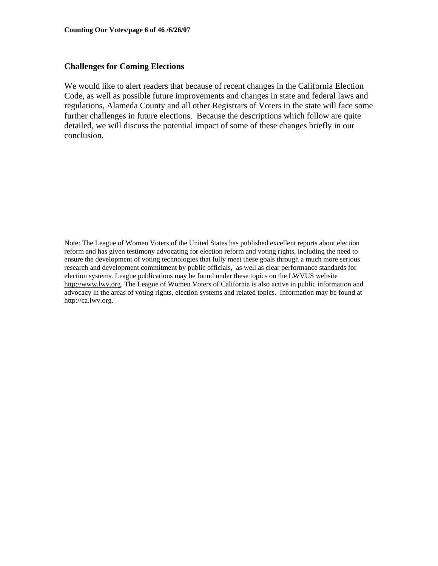### **Challenges for Coming Elections**

We would like to alert readers that because of recent changes in the California Election Code, as well as possible future improvements and changes in state and federal laws and regulations, Alameda County and all other Registrars of Voters in the state will face some further challenges in future elections. Because the descriptions which follow are quite detailed, we will discuss the potential impact of some of these changes briefly in our conclusion.

Note: The League of Women Voters of the United States has published excellent reports about election reform and has given testimony advocating for election reform and voting rights, including the need to ensure the development of voting technologies that fully meet these goals through a much more serious research and development commitment by public officials, as well as clear performance standards for election systems. League publications may be found under these topics on the LWVUS website http://www.lwv.org. The League of Women Voters of California is also active in public information and advocacy in the areas of voting rights, election systems and related topics. Information may be found at http://ca.lwv.org.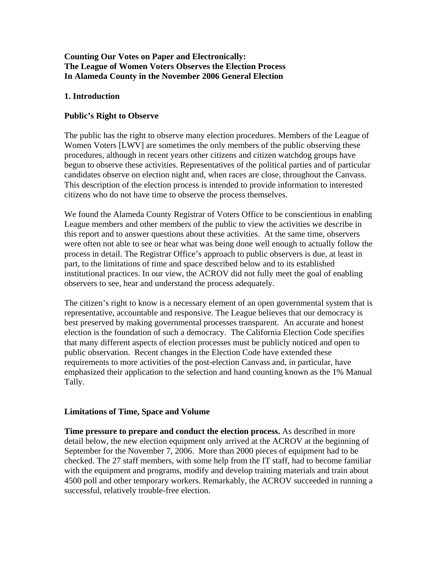### **Counting Our Votes on Paper and Electronically: The League of Women Voters Observes the Election Process In Alameda County in the November 2006 General Election**

### **1. Introduction**

## **Public's Right to Observe**

The public has the right to observe many election procedures. Members of the League of Women Voters [LWV] are sometimes the only members of the public observing these procedures, although in recent years other citizens and citizen watchdog groups have begun to observe these activities. Representatives of the political parties and of particular candidates observe on election night and, when races are close, throughout the Canvass. This description of the election process is intended to provide information to interested citizens who do not have time to observe the process themselves.

We found the Alameda County Registrar of Voters Office to be conscientious in enabling League members and other members of the public to view the activities we describe in this report and to answer questions about these activities. At the same time, observers were often not able to see or hear what was being done well enough to actually follow the process in detail. The Registrar Office's approach to public observers is due, at least in part, to the limitations of time and space described below and to its established institutional practices. In our view, the ACROV did not fully meet the goal of enabling observers to see, hear and understand the process adequately.

The citizen's right to know is a necessary element of an open governmental system that is representative, accountable and responsive. The League believes that our democracy is best preserved by making governmental processes transparent. An accurate and honest election is the foundation of such a democracy. The California Election Code specifies that many different aspects of election processes must be publicly noticed and open to public observation. Recent changes in the Election Code have extended these requirements to more activities of the post-election Canvass and, in particular, have emphasized their application to the selection and hand counting known as the 1% Manual Tally.

### **Limitations of Time, Space and Volume**

**Time pressure to prepare and conduct the election process.** As described in more detail below, the new election equipment only arrived at the ACROV at the beginning of September for the November 7, 2006. More than 2000 pieces of equipment had to be checked. The 27 staff members, with some help from the IT staff, had to become familiar with the equipment and programs, modify and develop training materials and train about 4500 poll and other temporary workers. Remarkably, the ACROV succeeded in running a successful, relatively trouble-free election.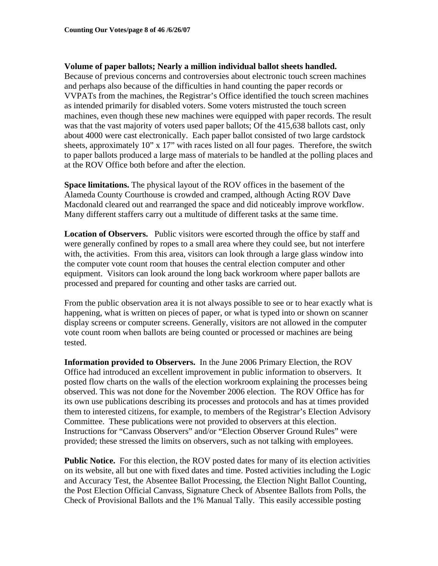### **Volume of paper ballots; Nearly a million individual ballot sheets handled.**

Because of previous concerns and controversies about electronic touch screen machines and perhaps also because of the difficulties in hand counting the paper records or VVPATs from the machines, the Registrar's Office identified the touch screen machines as intended primarily for disabled voters. Some voters mistrusted the touch screen machines, even though these new machines were equipped with paper records. The result was that the vast majority of voters used paper ballots; Of the 415,638 ballots cast, only about 4000 were cast electronically. Each paper ballot consisted of two large cardstock sheets, approximately 10" x 17" with races listed on all four pages. Therefore, the switch to paper ballots produced a large mass of materials to be handled at the polling places and at the ROV Office both before and after the election.

**Space limitations.** The physical layout of the ROV offices in the basement of the Alameda County Courthouse is crowded and cramped, although Acting ROV Dave Macdonald cleared out and rearranged the space and did noticeably improve workflow. Many different staffers carry out a multitude of different tasks at the same time.

**Location of Observers.** Public visitors were escorted through the office by staff and were generally confined by ropes to a small area where they could see, but not interfere with, the activities. From this area, visitors can look through a large glass window into the computer vote count room that houses the central election computer and other equipment. Visitors can look around the long back workroom where paper ballots are processed and prepared for counting and other tasks are carried out.

From the public observation area it is not always possible to see or to hear exactly what is happening, what is written on pieces of paper, or what is typed into or shown on scanner display screens or computer screens. Generally, visitors are not allowed in the computer vote count room when ballots are being counted or processed or machines are being tested.

**Information provided to Observers.** In the June 2006 Primary Election, the ROV Office had introduced an excellent improvement in public information to observers. It posted flow charts on the walls of the election workroom explaining the processes being observed. This was not done for the November 2006 election. The ROV Office has for its own use publications describing its processes and protocols and has at times provided them to interested citizens, for example, to members of the Registrar's Election Advisory Committee. These publications were not provided to observers at this election. Instructions for "Canvass Observers" and/or "Election Observer Ground Rules" were provided; these stressed the limits on observers, such as not talking with employees.

**Public Notice.** For this election, the ROV posted dates for many of its election activities on its website, all but one with fixed dates and time. Posted activities including the Logic and Accuracy Test, the Absentee Ballot Processing, the Election Night Ballot Counting, the Post Election Official Canvass, Signature Check of Absentee Ballots from Polls, the Check of Provisional Ballots and the 1% Manual Tally. This easily accessible posting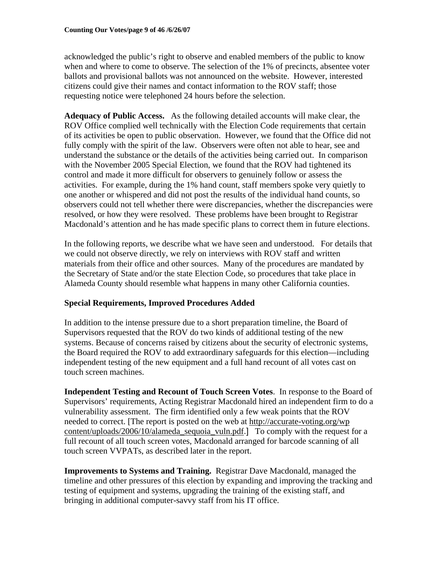acknowledged the public's right to observe and enabled members of the public to know when and where to come to observe. The selection of the 1% of precincts, absentee voter ballots and provisional ballots was not announced on the website. However, interested citizens could give their names and contact information to the ROV staff; those requesting notice were telephoned 24 hours before the selection.

**Adequacy of Public Access.** As the following detailed accounts will make clear, the ROV Office complied well technically with the Election Code requirements that certain of its activities be open to public observation. However, we found that the Office did not fully comply with the spirit of the law. Observers were often not able to hear, see and understand the substance or the details of the activities being carried out. In comparison with the November 2005 Special Election, we found that the ROV had tightened its control and made it more difficult for observers to genuinely follow or assess the activities. For example, during the 1% hand count, staff members spoke very quietly to one another or whispered and did not post the results of the individual hand counts, so observers could not tell whether there were discrepancies, whether the discrepancies were resolved, or how they were resolved. These problems have been brought to Registrar Macdonald's attention and he has made specific plans to correct them in future elections.

In the following reports, we describe what we have seen and understood. For details that we could not observe directly, we rely on interviews with ROV staff and written materials from their office and other sources. Many of the procedures are mandated by the Secretary of State and/or the state Election Code, so procedures that take place in Alameda County should resemble what happens in many other California counties.

# **Special Requirements, Improved Procedures Added**

In addition to the intense pressure due to a short preparation timeline, the Board of Supervisors requested that the ROV do two kinds of additional testing of the new systems. Because of concerns raised by citizens about the security of electronic systems, the Board required the ROV to add extraordinary safeguards for this election—including independent testing of the new equipment and a full hand recount of all votes cast on touch screen machines.

**Independent Testing and Recount of Touch Screen Votes**. In response to the Board of Supervisors' requirements, Acting Registrar Macdonald hired an independent firm to do a vulnerability assessment. The firm identified only a few weak points that the ROV needed to correct. [The report is posted on the web at http://accurate-voting.org/wp content/uploads/2006/10/alameda\_sequoia\_vuln.pdf.] To comply with the request for a full recount of all touch screen votes, Macdonald arranged for barcode scanning of all touch screen VVPATs, as described later in the report.

**Improvements to Systems and Training.** Registrar Dave Macdonald, managed the timeline and other pressures of this election by expanding and improving the tracking and testing of equipment and systems, upgrading the training of the existing staff, and bringing in additional computer-savvy staff from his IT office.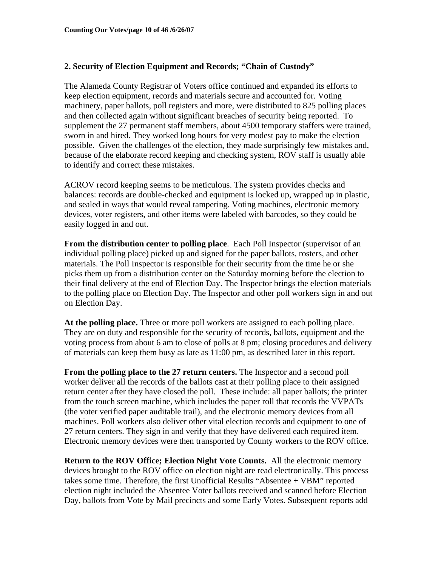### **2. Security of Election Equipment and Records; "Chain of Custody"**

The Alameda County Registrar of Voters office continued and expanded its efforts to keep election equipment, records and materials secure and accounted for. Voting machinery, paper ballots, poll registers and more, were distributed to 825 polling places and then collected again without significant breaches of security being reported. To supplement the 27 permanent staff members, about 4500 temporary staffers were trained, sworn in and hired. They worked long hours for very modest pay to make the election possible. Given the challenges of the election, they made surprisingly few mistakes and, because of the elaborate record keeping and checking system, ROV staff is usually able to identify and correct these mistakes.

ACROV record keeping seems to be meticulous. The system provides checks and balances: records are double-checked and equipment is locked up, wrapped up in plastic, and sealed in ways that would reveal tampering. Voting machines, electronic memory devices, voter registers, and other items were labeled with barcodes, so they could be easily logged in and out.

**From the distribution center to polling place**. Each Poll Inspector (supervisor of an individual polling place) picked up and signed for the paper ballots, rosters, and other materials. The Poll Inspector is responsible for their security from the time he or she picks them up from a distribution center on the Saturday morning before the election to their final delivery at the end of Election Day. The Inspector brings the election materials to the polling place on Election Day. The Inspector and other poll workers sign in and out on Election Day.

**At the polling place.** Three or more poll workers are assigned to each polling place. They are on duty and responsible for the security of records, ballots, equipment and the voting process from about 6 am to close of polls at 8 pm; closing procedures and delivery of materials can keep them busy as late as 11:00 pm, as described later in this report.

**From the polling place to the 27 return centers.** The Inspector and a second poll worker deliver all the records of the ballots cast at their polling place to their assigned return center after they have closed the poll. These include: all paper ballots; the printer from the touch screen machine, which includes the paper roll that records the VVPATs (the voter verified paper auditable trail), and the electronic memory devices from all machines. Poll workers also deliver other vital election records and equipment to one of 27 return centers. They sign in and verify that they have delivered each required item. Electronic memory devices were then transported by County workers to the ROV office.

**Return to the ROV Office; Election Night Vote Counts.** All the electronic memory devices brought to the ROV office on election night are read electronically. This process takes some time. Therefore, the first Unofficial Results "Absentee + VBM" reported election night included the Absentee Voter ballots received and scanned before Election Day, ballots from Vote by Mail precincts and some Early Votes*.* Subsequent reports add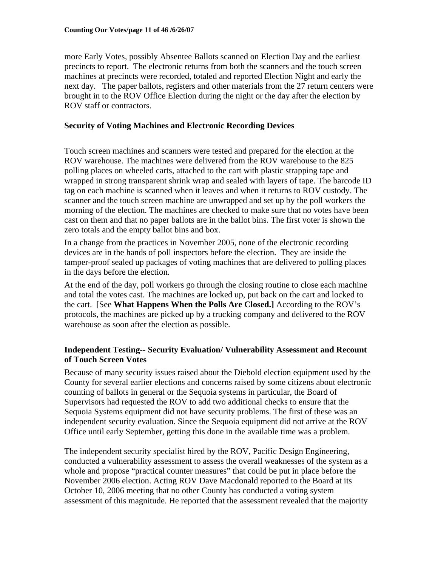more Early Votes, possibly Absentee Ballots scanned on Election Day and the earliest precincts to report. The electronic returns from both the scanners and the touch screen machines at precincts were recorded, totaled and reported Election Night and early the next day. The paper ballots, registers and other materials from the 27 return centers were brought in to the ROV Office Election during the night or the day after the election by ROV staff or contractors.

### **Security of Voting Machines and Electronic Recording Devices**

Touch screen machines and scanners were tested and prepared for the election at the ROV warehouse. The machines were delivered from the ROV warehouse to the 825 polling places on wheeled carts, attached to the cart with plastic strapping tape and wrapped in strong transparent shrink wrap and sealed with layers of tape. The barcode ID tag on each machine is scanned when it leaves and when it returns to ROV custody. The scanner and the touch screen machine are unwrapped and set up by the poll workers the morning of the election. The machines are checked to make sure that no votes have been cast on them and that no paper ballots are in the ballot bins. The first voter is shown the zero totals and the empty ballot bins and box.

In a change from the practices in November 2005, none of the electronic recording devices are in the hands of poll inspectors before the election. They are inside the tamper-proof sealed up packages of voting machines that are delivered to polling places in the days before the election.

At the end of the day, poll workers go through the closing routine to close each machine and total the votes cast. The machines are locked up, put back on the cart and locked to the cart. [See **What Happens When the Polls Are Closed.]** According to the ROV's protocols, the machines are picked up by a trucking company and delivered to the ROV warehouse as soon after the election as possible.

### **Independent Testing-- Security Evaluation/ Vulnerability Assessment and Recount of Touch Screen Votes**

Because of many security issues raised about the Diebold election equipment used by the County for several earlier elections and concerns raised by some citizens about electronic counting of ballots in general or the Sequoia systems in particular, the Board of Supervisors had requested the ROV to add two additional checks to ensure that the Sequoia Systems equipment did not have security problems. The first of these was an independent security evaluation. Since the Sequoia equipment did not arrive at the ROV Office until early September, getting this done in the available time was a problem.

The independent security specialist hired by the ROV, Pacific Design Engineering, conducted a vulnerability assessment to assess the overall weaknesses of the system as a whole and propose "practical counter measures" that could be put in place before the November 2006 election. Acting ROV Dave Macdonald reported to the Board at its October 10, 2006 meeting that no other County has conducted a voting system assessment of this magnitude. He reported that the assessment revealed that the majority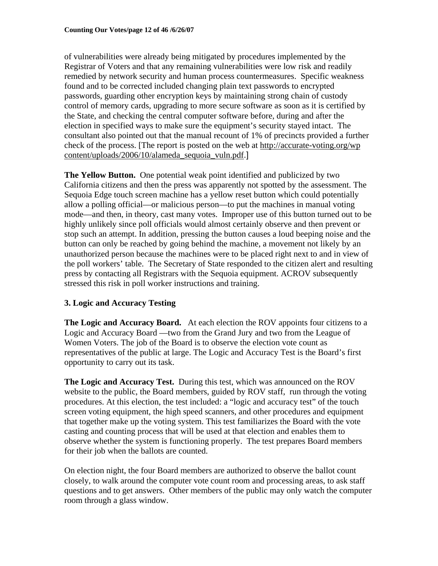of vulnerabilities were already being mitigated by procedures implemented by the Registrar of Voters and that any remaining vulnerabilities were low risk and readily remedied by network security and human process countermeasures. Specific weakness found and to be corrected included changing plain text passwords to encrypted passwords, guarding other encryption keys by maintaining strong chain of custody control of memory cards, upgrading to more secure software as soon as it is certified by the State, and checking the central computer software before, during and after the election in specified ways to make sure the equipment's security stayed intact. The consultant also pointed out that the manual recount of 1% of precincts provided a further check of the process. [The report is posted on the web at http://accurate-voting.org/wp content/uploads/2006/10/alameda\_sequoia\_vuln.pdf.]

**The Yellow Button.** One potential weak point identified and publicized by two California citizens and then the press was apparently not spotted by the assessment. The Sequoia Edge touch screen machine has a yellow reset button which could potentially allow a polling official—or malicious person—to put the machines in manual voting mode—and then, in theory, cast many votes. Improper use of this button turned out to be highly unlikely since poll officials would almost certainly observe and then prevent or stop such an attempt. In addition, pressing the button causes a loud beeping noise and the button can only be reached by going behind the machine, a movement not likely by an unauthorized person because the machines were to be placed right next to and in view of the poll workers' table. The Secretary of State responded to the citizen alert and resulting press by contacting all Registrars with the Sequoia equipment. ACROV subsequently stressed this risk in poll worker instructions and training.

# **3. Logic and Accuracy Testing**

**The Logic and Accuracy Board.** At each election the ROV appoints four citizens to a Logic and Accuracy Board —two from the Grand Jury and two from the League of Women Voters. The job of the Board is to observe the election vote count as representatives of the public at large. The Logic and Accuracy Test is the Board's first opportunity to carry out its task.

**The Logic and Accuracy Test.** During this test, which was announced on the ROV website to the public, the Board members, guided by ROV staff, run through the voting procedures. At this election, the test included: a "logic and accuracy test" of the touch screen voting equipment, the high speed scanners, and other procedures and equipment that together make up the voting system. This test familiarizes the Board with the vote casting and counting process that will be used at that election and enables them to observe whether the system is functioning properly. The test prepares Board members for their job when the ballots are counted.

On election night, the four Board members are authorized to observe the ballot count closely, to walk around the computer vote count room and processing areas, to ask staff questions and to get answers. Other members of the public may only watch the computer room through a glass window.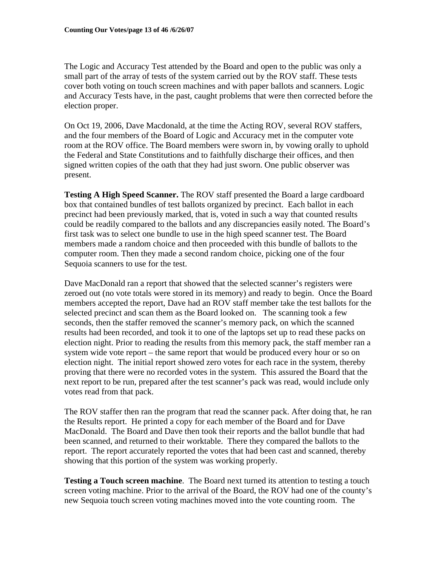The Logic and Accuracy Test attended by the Board and open to the public was only a small part of the array of tests of the system carried out by the ROV staff. These tests cover both voting on touch screen machines and with paper ballots and scanners. Logic and Accuracy Tests have, in the past, caught problems that were then corrected before the election proper.

On Oct 19, 2006, Dave Macdonald, at the time the Acting ROV, several ROV staffers, and the four members of the Board of Logic and Accuracy met in the computer vote room at the ROV office. The Board members were sworn in, by vowing orally to uphold the Federal and State Constitutions and to faithfully discharge their offices, and then signed written copies of the oath that they had just sworn. One public observer was present.

**Testing A High Speed Scanner.** The ROV staff presented the Board a large cardboard box that contained bundles of test ballots organized by precinct. Each ballot in each precinct had been previously marked, that is, voted in such a way that counted results could be readily compared to the ballots and any discrepancies easily noted. The Board's first task was to select one bundle to use in the high speed scanner test. The Board members made a random choice and then proceeded with this bundle of ballots to the computer room. Then they made a second random choice, picking one of the four Sequoia scanners to use for the test.

Dave MacDonald ran a report that showed that the selected scanner's registers were zeroed out (no vote totals were stored in its memory) and ready to begin. Once the Board members accepted the report, Dave had an ROV staff member take the test ballots for the selected precinct and scan them as the Board looked on. The scanning took a few seconds, then the staffer removed the scanner's memory pack, on which the scanned results had been recorded, and took it to one of the laptops set up to read these packs on election night. Prior to reading the results from this memory pack, the staff member ran a system wide vote report – the same report that would be produced every hour or so on election night. The initial report showed zero votes for each race in the system, thereby proving that there were no recorded votes in the system. This assured the Board that the next report to be run, prepared after the test scanner's pack was read, would include only votes read from that pack.

The ROV staffer then ran the program that read the scanner pack. After doing that, he ran the Results report. He printed a copy for each member of the Board and for Dave MacDonald. The Board and Dave then took their reports and the ballot bundle that had been scanned, and returned to their worktable. There they compared the ballots to the report. The report accurately reported the votes that had been cast and scanned, thereby showing that this portion of the system was working properly.

**Testing a Touch screen machine**. The Board next turned its attention to testing a touch screen voting machine. Prior to the arrival of the Board, the ROV had one of the county's new Sequoia touch screen voting machines moved into the vote counting room. The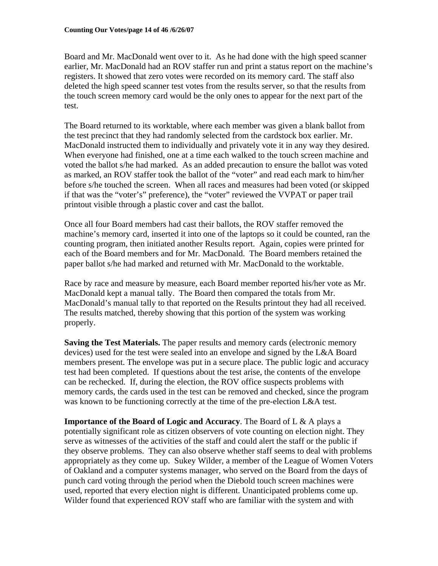Board and Mr. MacDonald went over to it. As he had done with the high speed scanner earlier, Mr. MacDonald had an ROV staffer run and print a status report on the machine's registers. It showed that zero votes were recorded on its memory card. The staff also deleted the high speed scanner test votes from the results server, so that the results from the touch screen memory card would be the only ones to appear for the next part of the test.

The Board returned to its worktable, where each member was given a blank ballot from the test precinct that they had randomly selected from the cardstock box earlier. Mr. MacDonald instructed them to individually and privately vote it in any way they desired. When everyone had finished, one at a time each walked to the touch screen machine and voted the ballot s/he had marked. As an added precaution to ensure the ballot was voted as marked, an ROV staffer took the ballot of the "voter" and read each mark to him/her before s/he touched the screen. When all races and measures had been voted (or skipped if that was the "voter's" preference), the "voter" reviewed the VVPAT or paper trail printout visible through a plastic cover and cast the ballot.

Once all four Board members had cast their ballots, the ROV staffer removed the machine's memory card, inserted it into one of the laptops so it could be counted, ran the counting program, then initiated another Results report. Again, copies were printed for each of the Board members and for Mr. MacDonald. The Board members retained the paper ballot s/he had marked and returned with Mr. MacDonald to the worktable.

Race by race and measure by measure, each Board member reported his/her vote as Mr. MacDonald kept a manual tally. The Board then compared the totals from Mr. MacDonald's manual tally to that reported on the Results printout they had all received. The results matched, thereby showing that this portion of the system was working properly.

**Saving the Test Materials.** The paper results and memory cards (electronic memory devices) used for the test were sealed into an envelope and signed by the L&A Board members present. The envelope was put in a secure place. The public logic and accuracy test had been completed. If questions about the test arise, the contents of the envelope can be rechecked. If, during the election, the ROV office suspects problems with memory cards, the cards used in the test can be removed and checked, since the program was known to be functioning correctly at the time of the pre-election L&A test.

**Importance of the Board of Logic and Accuracy**. The Board of L & A plays a potentially significant role as citizen observers of vote counting on election night. They serve as witnesses of the activities of the staff and could alert the staff or the public if they observe problems. They can also observe whether staff seems to deal with problems appropriately as they come up. Sukey Wilder, a member of the League of Women Voters of Oakland and a computer systems manager, who served on the Board from the days of punch card voting through the period when the Diebold touch screen machines were used, reported that every election night is different. Unanticipated problems come up. Wilder found that experienced ROV staff who are familiar with the system and with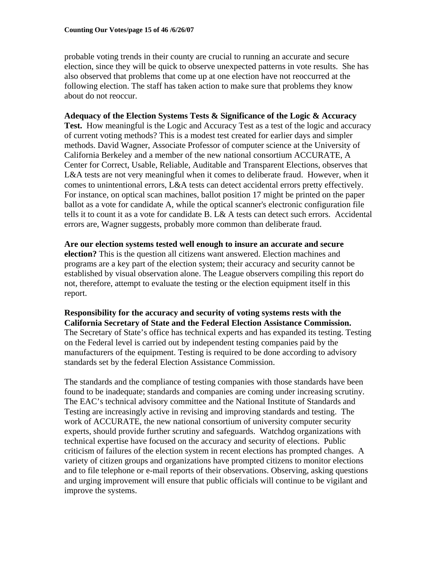probable voting trends in their county are crucial to running an accurate and secure election, since they will be quick to observe unexpected patterns in vote results. She has also observed that problems that come up at one election have not reoccurred at the following election. The staff has taken action to make sure that problems they know about do not reoccur.

### **Adequacy of the Election Systems Tests & Significance of the Logic & Accuracy**

Test. How meaningful is the Logic and Accuracy Test as a test of the logic and accuracy of current voting methods? This is a modest test created for earlier days and simpler methods. David Wagner, Associate Professor of computer science at the University of California Berkeley and a member of the new national consortium ACCURATE, A Center for Correct, Usable, Reliable, Auditable and Transparent Elections, observes that L&A tests are not very meaningful when it comes to deliberate fraud. However, when it comes to unintentional errors, L&A tests can detect accidental errors pretty effectively. For instance, on optical scan machines, ballot position 17 might be printed on the paper ballot as a vote for candidate A, while the optical scanner's electronic configuration file tells it to count it as a vote for candidate B. L& A tests can detect such errors. Accidental errors are, Wagner suggests, probably more common than deliberate fraud.

**Are our election systems tested well enough to insure an accurate and secure election?** This is the question all citizens want answered. Election machines and programs are a key part of the election system; their accuracy and security cannot be established by visual observation alone. The League observers compiling this report do not, therefore, attempt to evaluate the testing or the election equipment itself in this report.

**Responsibility for the accuracy and security of voting systems rests with the California Secretary of State and the Federal Election Assistance Commission.**  The Secretary of State's office has technical experts and has expanded its testing. Testing on the Federal level is carried out by independent testing companies paid by the manufacturers of the equipment. Testing is required to be done according to advisory standards set by the federal Election Assistance Commission.

The standards and the compliance of testing companies with those standards have been found to be inadequate; standards and companies are coming under increasing scrutiny. The EAC's technical advisory committee and the National Institute of Standards and Testing are increasingly active in revising and improving standards and testing. The work of ACCURATE, the new national consortium of university computer security experts, should provide further scrutiny and safeguards. Watchdog organizations with technical expertise have focused on the accuracy and security of elections. Public criticism of failures of the election system in recent elections has prompted changes. A variety of citizen groups and organizations have prompted citizens to monitor elections and to file telephone or e-mail reports of their observations. Observing, asking questions and urging improvement will ensure that public officials will continue to be vigilant and improve the systems.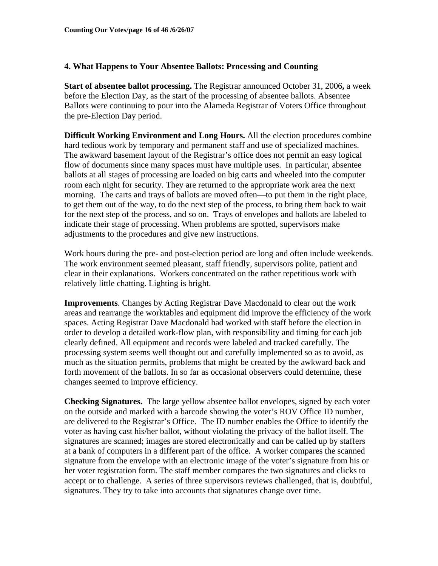### **4. What Happens to Your Absentee Ballots: Processing and Counting**

**Start of absentee ballot processing.** The Registrar announced October 31, 2006**,** a week before the Election Day, as the start of the processing of absentee ballots. Absentee Ballots were continuing to pour into the Alameda Registrar of Voters Office throughout the pre-Election Day period.

**Difficult Working Environment and Long Hours.** All the election procedures combine hard tedious work by temporary and permanent staff and use of specialized machines. The awkward basement layout of the Registrar's office does not permit an easy logical flow of documents since many spaces must have multiple uses. In particular, absentee ballots at all stages of processing are loaded on big carts and wheeled into the computer room each night for security. They are returned to the appropriate work area the next morning. The carts and trays of ballots are moved often—to put them in the right place, to get them out of the way, to do the next step of the process, to bring them back to wait for the next step of the process, and so on. Trays of envelopes and ballots are labeled to indicate their stage of processing. When problems are spotted, supervisors make adjustments to the procedures and give new instructions.

Work hours during the pre- and post-election period are long and often include weekends. The work environment seemed pleasant, staff friendly, supervisors polite, patient and clear in their explanations. Workers concentrated on the rather repetitious work with relatively little chatting. Lighting is bright.

**Improvements**. Changes by Acting Registrar Dave Macdonald to clear out the work areas and rearrange the worktables and equipment did improve the efficiency of the work spaces. Acting Registrar Dave Macdonald had worked with staff before the election in order to develop a detailed work-flow plan, with responsibility and timing for each job clearly defined. All equipment and records were labeled and tracked carefully. The processing system seems well thought out and carefully implemented so as to avoid, as much as the situation permits, problems that might be created by the awkward back and forth movement of the ballots. In so far as occasional observers could determine, these changes seemed to improve efficiency.

**Checking Signatures.** The large yellow absentee ballot envelopes, signed by each voter on the outside and marked with a barcode showing the voter's ROV Office ID number, are delivered to the Registrar's Office. The ID number enables the Office to identify the voter as having cast his/her ballot, without violating the privacy of the ballot itself. The signatures are scanned; images are stored electronically and can be called up by staffers at a bank of computers in a different part of the office. A worker compares the scanned signature from the envelope with an electronic image of the voter's signature from his or her voter registration form. The staff member compares the two signatures and clicks to accept or to challenge. A series of three supervisors reviews challenged, that is, doubtful, signatures. They try to take into accounts that signatures change over time.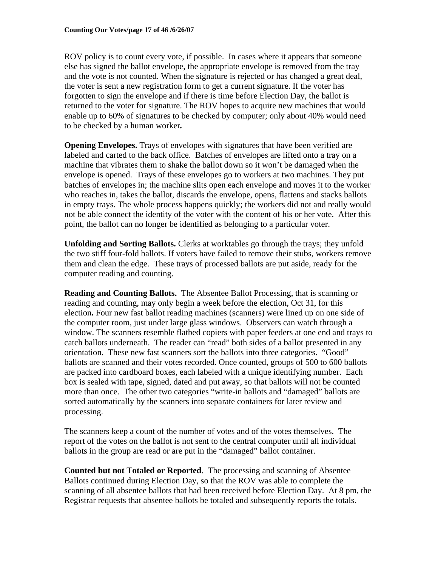ROV policy is to count every vote, if possible. In cases where it appears that someone else has signed the ballot envelope, the appropriate envelope is removed from the tray and the vote is not counted. When the signature is rejected or has changed a great deal, the voter is sent a new registration form to get a current signature. If the voter has forgotten to sign the envelope and if there is time before Election Day, the ballot is returned to the voter for signature. The ROV hopes to acquire new machines that would enable up to 60% of signatures to be checked by computer; only about 40% would need to be checked by a human worker*.* 

**Opening Envelopes.** Trays of envelopes with signatures that have been verified are labeled and carted to the back office. Batches of envelopes are lifted onto a tray on a machine that vibrates them to shake the ballot down so it won't be damaged when the envelope is opened. Trays of these envelopes go to workers at two machines. They put batches of envelopes in; the machine slits open each envelope and moves it to the worker who reaches in, takes the ballot, discards the envelope, opens, flattens and stacks ballots in empty trays. The whole process happens quickly; the workers did not and really would not be able connect the identity of the voter with the content of his or her vote. After this point, the ballot can no longer be identified as belonging to a particular voter.

**Unfolding and Sorting Ballots.** Clerks at worktables go through the trays; they unfold the two stiff four-fold ballots. If voters have failed to remove their stubs, workers remove them and clean the edge. These trays of processed ballots are put aside, ready for the computer reading and counting.

**Reading and Counting Ballots.** The Absentee Ballot Processing, that is scanning or reading and counting, may only begin a week before the election, Oct 31, for this election**.** Four new fast ballot reading machines (scanners) were lined up on one side of the computer room, just under large glass windows. Observers can watch through a window. The scanners resemble flatbed copiers with paper feeders at one end and trays to catch ballots underneath. The reader can "read" both sides of a ballot presented in any orientation. These new fast scanners sort the ballots into three categories. "Good" ballots are scanned and their votes recorded. Once counted, groups of 500 to 600 ballots are packed into cardboard boxes, each labeled with a unique identifying number. Each box is sealed with tape, signed, dated and put away, so that ballots will not be counted more than once. The other two categories "write-in ballots and "damaged" ballots are sorted automatically by the scanners into separate containers for later review and processing.

The scanners keep a count of the number of votes and of the votes themselves. The report of the votes on the ballot is not sent to the central computer until all individual ballots in the group are read or are put in the "damaged" ballot container.

**Counted but not Totaled or Reported**. The processing and scanning of Absentee Ballots continued during Election Day, so that the ROV was able to complete the scanning of all absentee ballots that had been received before Election Day. At 8 pm, the Registrar requests that absentee ballots be totaled and subsequently reports the totals.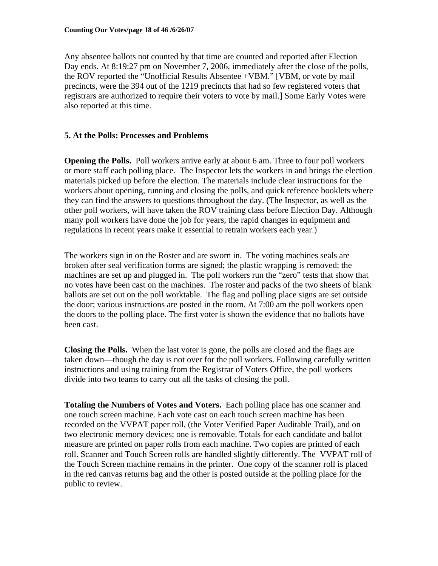Any absentee ballots not counted by that time are counted and reported after Election Day ends. At 8:19:27 pm on November 7, 2006, immediately after the close of the polls, the ROV reported the "Unofficial Results Absentee +VBM." [VBM, or vote by mail precincts, were the 394 out of the 1219 precincts that had so few registered voters that registrars are authorized to require their voters to vote by mail.] Some Early Votes were also reported at this time.

### **5. At the Polls: Processes and Problems**

**Opening the Polls.** Poll workers arrive early at about 6 am. Three to four poll workers or more staff each polling place. The Inspector lets the workers in and brings the election materials picked up before the election. The materials include clear instructions for the workers about opening, running and closing the polls, and quick reference booklets where they can find the answers to questions throughout the day. (The Inspector, as well as the other poll workers, will have taken the ROV training class before Election Day. Although many poll workers have done the job for years, the rapid changes in equipment and regulations in recent years make it essential to retrain workers each year.)

The workers sign in on the Roster and are sworn in. The voting machines seals are broken after seal verification forms are signed; the plastic wrapping is removed; the machines are set up and plugged in. The poll workers run the "zero" tests that show that no votes have been cast on the machines. The roster and packs of the two sheets of blank ballots are set out on the poll worktable. The flag and polling place signs are set outside the door; various instructions are posted in the room. At 7:00 am the poll workers open the doors to the polling place. The first voter is shown the evidence that no ballots have been cast.

**Closing the Polls.** When the last voter is gone, the polls are closed and the flags are taken down—though the day is not over for the poll workers. Following carefully written instructions and using training from the Registrar of Voters Office, the poll workers divide into two teams to carry out all the tasks of closing the poll.

**Totaling the Numbers of Votes and Voters.** Each polling place has one scanner and one touch screen machine. Each vote cast on each touch screen machine has been recorded on the VVPAT paper roll, (the Voter Verified Paper Auditable Trail), and on two electronic memory devices; one is removable. Totals for each candidate and ballot measure are printed on paper rolls from each machine. Two copies are printed of each roll. Scanner and Touch Screen rolls are handled slightly differently. The VVPAT roll of the Touch Screen machine remains in the printer. One copy of the scanner roll is placed in the red canvas returns bag and the other is posted outside at the polling place for the public to review.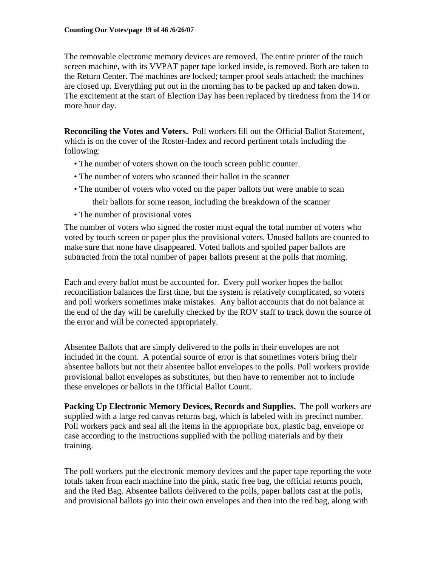The removable electronic memory devices are removed. The entire printer of the touch screen machine, with its VVPAT paper tape locked inside, is removed. Both are taken to the Return Center. The machines are locked; tamper proof seals attached; the machines are closed up. Everything put out in the morning has to be packed up and taken down. The excitement at the start of Election Day has been replaced by tiredness from the 14 or more hour day.

**Reconciling the Votes and Voters.** Poll workers fill out the Official Ballot Statement, which is on the cover of the Roster-Index and record pertinent totals including the following:

- The number of voters shown on the touch screen public counter.
- The number of voters who scanned their ballot in the scanner
- The number of voters who voted on the paper ballots but were unable to scan

their ballots for some reason, including the breakdown of the scanner

• The number of provisional votes

The number of voters who signed the roster must equal the total number of voters who voted by touch screen or paper plus the provisional voters. Unused ballots are counted to make sure that none have disappeared. Voted ballots and spoiled paper ballots are subtracted from the total number of paper ballots present at the polls that morning.

Each and every ballot must be accounted for. Every poll worker hopes the ballot reconciliation balances the first time, but the system is relatively complicated, so voters and poll workers sometimes make mistakes. Any ballot accounts that do not balance at the end of the day will be carefully checked by the ROV staff to track down the source of the error and will be corrected appropriately.

Absentee Ballots that are simply delivered to the polls in their envelopes are not included in the count. A potential source of error is that sometimes voters bring their absentee ballots but not their absentee ballot envelopes to the polls. Poll workers provide provisional ballot envelopes as substitutes, but then have to remember not to include these envelopes or ballots in the Official Ballot Count.

**Packing Up Electronic Memory Devices, Records and Supplies.** The poll workers are supplied with a large red canvas returns bag, which is labeled with its precinct number. Poll workers pack and seal all the items in the appropriate box, plastic bag, envelope or case according to the instructions supplied with the polling materials and by their training.

The poll workers put the electronic memory devices and the paper tape reporting the vote totals taken from each machine into the pink, static free bag, the official returns pouch, and the Red Bag. Absentee ballots delivered to the polls, paper ballots cast at the polls, and provisional ballots go into their own envelopes and then into the red bag, along with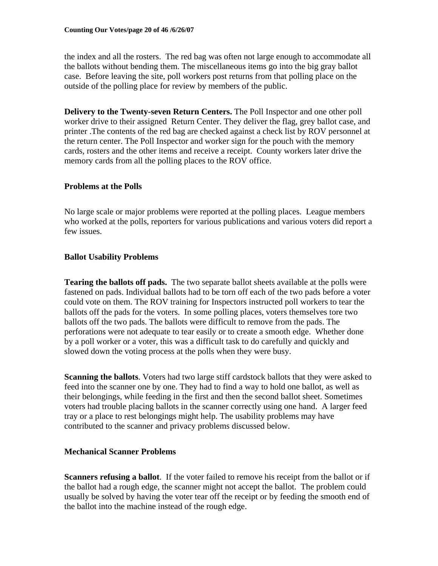the index and all the rosters. The red bag was often not large enough to accommodate all the ballots without bending them. The miscellaneous items go into the big gray ballot case. Before leaving the site, poll workers post returns from that polling place on the outside of the polling place for review by members of the public.

**Delivery to the Twenty-seven Return Centers.** The Poll Inspector and one other poll worker drive to their assigned Return Center. They deliver the flag, grey ballot case, and printer .The contents of the red bag are checked against a check list by ROV personnel at the return center. The Poll Inspector and worker sign for the pouch with the memory cards, rosters and the other items and receive a receipt. County workers later drive the memory cards from all the polling places to the ROV office.

# **Problems at the Polls**

No large scale or major problems were reported at the polling places. League members who worked at the polls, reporters for various publications and various voters did report a few issues.

# **Ballot Usability Problems**

**Tearing the ballots off pads.** The two separate ballot sheets available at the polls were fastened on pads. Individual ballots had to be torn off each of the two pads before a voter could vote on them. The ROV training for Inspectors instructed poll workers to tear the ballots off the pads for the voters. In some polling places, voters themselves tore two ballots off the two pads. The ballots were difficult to remove from the pads. The perforations were not adequate to tear easily or to create a smooth edge. Whether done by a poll worker or a voter, this was a difficult task to do carefully and quickly and slowed down the voting process at the polls when they were busy.

**Scanning the ballots**. Voters had two large stiff cardstock ballots that they were asked to feed into the scanner one by one. They had to find a way to hold one ballot, as well as their belongings, while feeding in the first and then the second ballot sheet. Sometimes voters had trouble placing ballots in the scanner correctly using one hand. A larger feed tray or a place to rest belongings might help. The usability problems may have contributed to the scanner and privacy problems discussed below.

# **Mechanical Scanner Problems**

**Scanners refusing a ballot**. If the voter failed to remove his receipt from the ballot or if the ballot had a rough edge, the scanner might not accept the ballot. The problem could usually be solved by having the voter tear off the receipt or by feeding the smooth end of the ballot into the machine instead of the rough edge.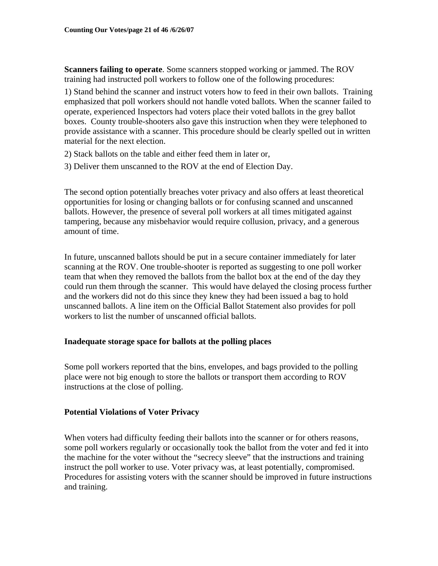**Scanners failing to operate**. Some scanners stopped working or jammed. The ROV training had instructed poll workers to follow one of the following procedures:

1) Stand behind the scanner and instruct voters how to feed in their own ballots. Training emphasized that poll workers should not handle voted ballots. When the scanner failed to operate, experienced Inspectors had voters place their voted ballots in the grey ballot boxes. County trouble-shooters also gave this instruction when they were telephoned to provide assistance with a scanner. This procedure should be clearly spelled out in written material for the next election.

- 2) Stack ballots on the table and either feed them in later or,
- 3) Deliver them unscanned to the ROV at the end of Election Day.

The second option potentially breaches voter privacy and also offers at least theoretical opportunities for losing or changing ballots or for confusing scanned and unscanned ballots. However, the presence of several poll workers at all times mitigated against tampering, because any misbehavior would require collusion, privacy, and a generous amount of time.

In future, unscanned ballots should be put in a secure container immediately for later scanning at the ROV. One trouble-shooter is reported as suggesting to one poll worker team that when they removed the ballots from the ballot box at the end of the day they could run them through the scanner. This would have delayed the closing process further and the workers did not do this since they knew they had been issued a bag to hold unscanned ballots. A line item on the Official Ballot Statement also provides for poll workers to list the number of unscanned official ballots.

### **Inadequate storage space for ballots at the polling places**

Some poll workers reported that the bins, envelopes, and bags provided to the polling place were not big enough to store the ballots or transport them according to ROV instructions at the close of polling.

### **Potential Violations of Voter Privacy**

When voters had difficulty feeding their ballots into the scanner or for others reasons, some poll workers regularly or occasionally took the ballot from the voter and fed it into the machine for the voter without the "secrecy sleeve" that the instructions and training instruct the poll worker to use. Voter privacy was, at least potentially, compromised. Procedures for assisting voters with the scanner should be improved in future instructions and training.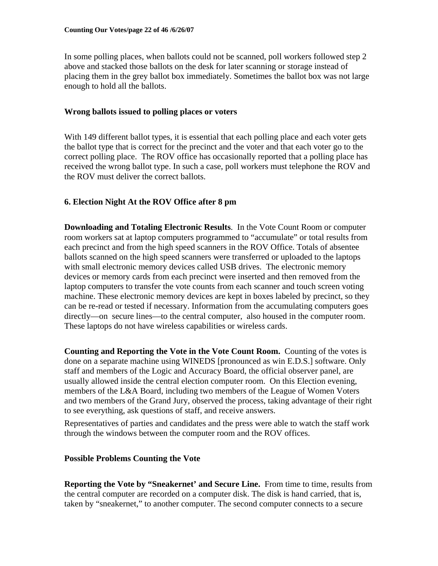In some polling places, when ballots could not be scanned, poll workers followed step 2 above and stacked those ballots on the desk for later scanning or storage instead of placing them in the grey ballot box immediately. Sometimes the ballot box was not large enough to hold all the ballots.

### **Wrong ballots issued to polling places or voters**

With 149 different ballot types, it is essential that each polling place and each voter gets the ballot type that is correct for the precinct and the voter and that each voter go to the correct polling place. The ROV office has occasionally reported that a polling place has received the wrong ballot type. In such a case, poll workers must telephone the ROV and the ROV must deliver the correct ballots.

### **6. Election Night At the ROV Office after 8 pm**

**Downloading and Totaling Electronic Results**. In the Vote Count Room or computer room workers sat at laptop computers programmed to "accumulate" or total results from each precinct and from the high speed scanners in the ROV Office. Totals of absentee ballots scanned on the high speed scanners were transferred or uploaded to the laptops with small electronic memory devices called USB drives. The electronic memory devices or memory cards from each precinct were inserted and then removed from the laptop computers to transfer the vote counts from each scanner and touch screen voting machine. These electronic memory devices are kept in boxes labeled by precinct, so they can be re-read or tested if necessary. Information from the accumulating computers goes directly—on secure lines—to the central computer, also housed in the computer room. These laptops do not have wireless capabilities or wireless cards.

**Counting and Reporting the Vote in the Vote Count Room.** Counting of the votes is done on a separate machine using WINEDS [pronounced as win E.D.S.] software. Only staff and members of the Logic and Accuracy Board, the official observer panel, are usually allowed inside the central election computer room. On this Election evening, members of the L&A Board, including two members of the League of Women Voters and two members of the Grand Jury, observed the process, taking advantage of their right to see everything, ask questions of staff, and receive answers.

Representatives of parties and candidates and the press were able to watch the staff work through the windows between the computer room and the ROV offices.

### **Possible Problems Counting the Vote**

**Reporting the Vote by "Sneakernet' and Secure Line.** From time to time, results from the central computer are recorded on a computer disk. The disk is hand carried, that is, taken by "sneakernet," to another computer. The second computer connects to a secure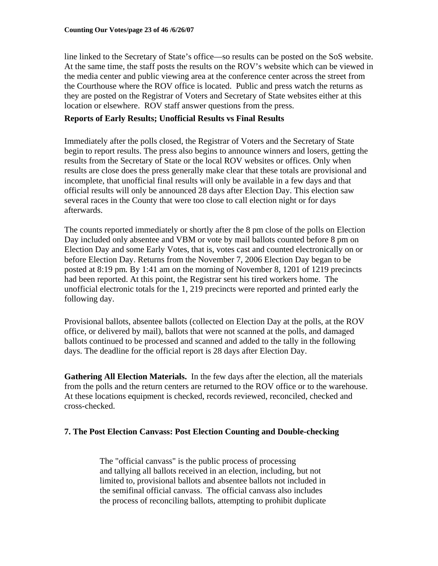line linked to the Secretary of State's office—so results can be posted on the SoS website. At the same time, the staff posts the results on the ROV's website which can be viewed in the media center and public viewing area at the conference center across the street from the Courthouse where the ROV office is located. Public and press watch the returns as they are posted on the Registrar of Voters and Secretary of State websites either at this location or elsewhere. ROV staff answer questions from the press.

### **Reports of Early Results; Unofficial Results vs Final Results**

Immediately after the polls closed, the Registrar of Voters and the Secretary of State begin to report results. The press also begins to announce winners and losers, getting the results from the Secretary of State or the local ROV websites or offices. Only when results are close does the press generally make clear that these totals are provisional and incomplete, that unofficial final results will only be available in a few days and that official results will only be announced 28 days after Election Day. This election saw several races in the County that were too close to call election night or for days afterwards.

The counts reported immediately or shortly after the 8 pm close of the polls on Election Day included only absentee and VBM or vote by mail ballots counted before 8 pm on Election Day and some Early Votes, that is, votes cast and counted electronically on or before Election Day. Returns from the November 7, 2006 Election Day began to be posted at 8:19 pm*.* By 1:41 am on the morning of November 8, 1201 of 1219 precincts had been reported. At this point, the Registrar sent his tired workers home. The unofficial electronic totals for the 1, 219 precincts were reported and printed early the following day.

Provisional ballots, absentee ballots (collected on Election Day at the polls, at the ROV office, or delivered by mail), ballots that were not scanned at the polls, and damaged ballots continued to be processed and scanned and added to the tally in the following days. The deadline for the official report is 28 days after Election Day.

**Gathering All Election Materials.** In the few days after the election, all the materials from the polls and the return centers are returned to the ROV office or to the warehouse. At these locations equipment is checked, records reviewed, reconciled, checked and cross-checked.

### **7. The Post Election Canvass: Post Election Counting and Double-checking**

The "official canvass" is the public process of processing and tallying all ballots received in an election, including, but not limited to, provisional ballots and absentee ballots not included in the semifinal official canvass. The official canvass also includes the process of reconciling ballots, attempting to prohibit duplicate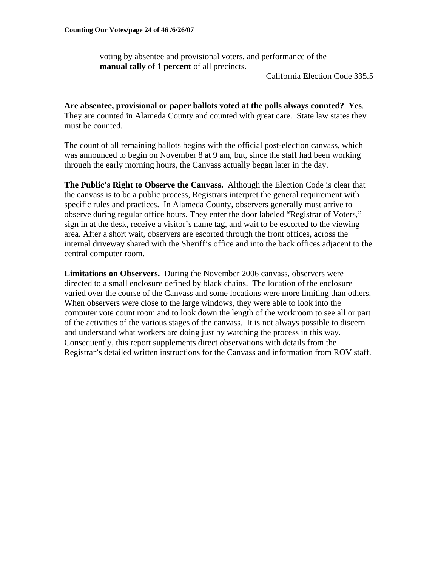voting by absentee and provisional voters, and performance of the **manual tally** of 1 **percent** of all precincts.

California Election Code 335.5

**Are absentee, provisional or paper ballots voted at the polls always counted? Yes**. They are counted in Alameda County and counted with great care. State law states they must be counted.

The count of all remaining ballots begins with the official post-election canvass, which was announced to begin on November 8 at 9 am, but, since the staff had been working through the early morning hours, the Canvass actually began later in the day.

**The Public's Right to Observe the Canvass.** Although the Election Code is clear that the canvass is to be a public process, Registrars interpret the general requirement with specific rules and practices. In Alameda County, observers generally must arrive to observe during regular office hours. They enter the door labeled "Registrar of Voters," sign in at the desk, receive a visitor's name tag, and wait to be escorted to the viewing area. After a short wait, observers are escorted through the front offices, across the internal driveway shared with the Sheriff's office and into the back offices adjacent to the central computer room.

**Limitations on Observers.** During the November 2006 canvass, observers were directed to a small enclosure defined by black chains. The location of the enclosure varied over the course of the Canvass and some locations were more limiting than others. When observers were close to the large windows, they were able to look into the computer vote count room and to look down the length of the workroom to see all or part of the activities of the various stages of the canvass. It is not always possible to discern and understand what workers are doing just by watching the process in this way. Consequently, this report supplements direct observations with details from the Registrar's detailed written instructions for the Canvass and information from ROV staff.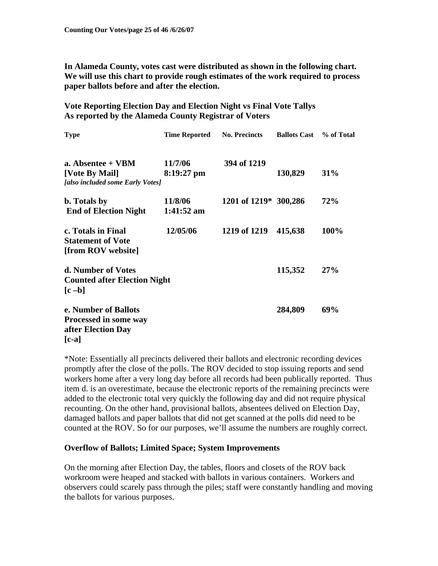**In Alameda County, votes cast were distributed as shown in the following chart. We will use this chart to provide rough estimates of the work required to process paper ballots before and after the election.** 

**Vote Reporting Election Day and Election Night vs Final Vote Tallys As reported by the Alameda County Registrar of Voters** 

| <b>Type</b>                                        | <b>Time Reported</b> | <b>No. Precincts</b>  | <b>Ballots Cast</b> | % of Total |
|----------------------------------------------------|----------------------|-----------------------|---------------------|------------|
| a. Absentee + VBM                                  | 11/7/06              | 394 of 1219           |                     |            |
| [Vote By Mail]<br>[also included some Early Votes] | $8:19:27$ pm         |                       | 130,829             | 31%        |
| b. Totals by                                       | 11/8/06              | 1201 of 1219* 300,286 |                     | <b>72%</b> |
| <b>End of Election Night</b>                       | $1:41:52$ am         |                       |                     |            |
| c. Totals in Final                                 | 12/05/06             | 1219 of 1219          | 415,638             | 100%       |
| <b>Statement of Vote</b><br>[from ROV website]     |                      |                       |                     |            |
| d. Number of Votes                                 |                      |                       | 115,352             | 27%        |
| <b>Counted after Election Night</b>                |                      |                       |                     |            |
| $[c - b]$                                          |                      |                       |                     |            |
| e. Number of Ballots                               |                      |                       | 284,809             | 69%        |
| <b>Processed in some way</b>                       |                      |                       |                     |            |
| after Election Day                                 |                      |                       |                     |            |
| $[c-a]$                                            |                      |                       |                     |            |

\*Note: Essentially all precincts delivered their ballots and electronic recording devices promptly after the close of the polls. The ROV decided to stop issuing reports and send workers home after a very long day before all records had been publically reported. Thus item d. is an overestimate, because the electronic reports of the remaining precincts were added to the electronic total very quickly the following day and did not require physical recounting. On the other hand, provisional ballots, absentees delived on Election Day, damaged ballots and paper ballots that did not get scanned at the polls did need to be counted at the ROV. So for our purposes, we'll assume the numbers are roughly correct.

### **Overflow of Ballots; Limited Space; System Improvements**

On the morning after Election Day, the tables, floors and closets of the ROV back workroom were heaped and stacked with ballots in various containers. Workers and observers could scarely pass through the piles; staff were constantly handling and moving the ballots for various purposes.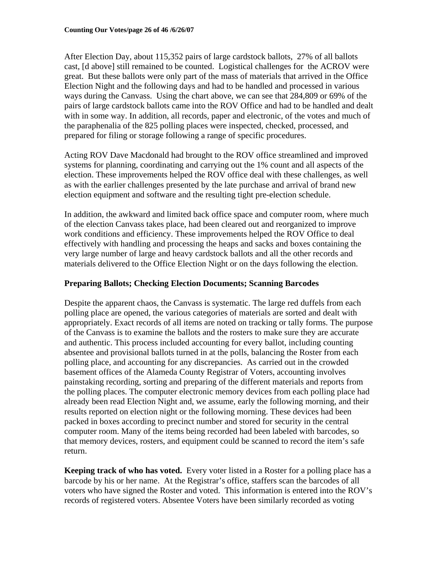After Election Day, about 115,352 pairs of large cardstock ballots, 27% of all ballots cast, [d above] still remained to be counted. Logistical challenges for the ACROV were great. But these ballots were only part of the mass of materials that arrived in the Office Election Night and the following days and had to be handled and processed in various ways during the Canvass. Using the chart above, we can see that 284,809 or 69% of the pairs of large cardstock ballots came into the ROV Office and had to be handled and dealt with in some way. In addition, all records, paper and electronic, of the votes and much of the paraphenalia of the 825 polling places were inspected, checked, processed, and prepared for filing or storage following a range of specific procedures.

Acting ROV Dave Macdonald had brought to the ROV office streamlined and improved systems for planning, coordinating and carrying out the 1% count and all aspects of the election. These improvements helped the ROV office deal with these challenges, as well as with the earlier challenges presented by the late purchase and arrival of brand new election equipment and software and the resulting tight pre-election schedule.

In addition, the awkward and limited back office space and computer room, where much of the election Canvass takes place, had been cleared out and reorganized to improve work conditions and efficiency. These improvements helped the ROV Office to deal effectively with handling and processing the heaps and sacks and boxes containing the very large number of large and heavy cardstock ballots and all the other records and materials delivered to the Office Election Night or on the days following the election.

## **Preparing Ballots; Checking Election Documents; Scanning Barcodes**

Despite the apparent chaos, the Canvass is systematic. The large red duffels from each polling place are opened, the various categories of materials are sorted and dealt with appropriately. Exact records of all items are noted on tracking or tally forms. The purpose of the Canvass is to examine the ballots and the rosters to make sure they are accurate and authentic. This process included accounting for every ballot, including counting absentee and provisional ballots turned in at the polls, balancing the Roster from each polling place, and accounting for any discrepancies. As carried out in the crowded basement offices of the Alameda County Registrar of Voters, accounting involves painstaking recording, sorting and preparing of the different materials and reports from the polling places. The computer electronic memory devices from each polling place had already been read Election Night and, we assume, early the following morning, and their results reported on election night or the following morning. These devices had been packed in boxes according to precinct number and stored for security in the central computer room. Many of the items being recorded had been labeled with barcodes, so that memory devices, rosters, and equipment could be scanned to record the item's safe return.

**Keeping track of who has voted.** Every voter listed in a Roster for a polling place has a barcode by his or her name. At the Registrar's office, staffers scan the barcodes of all voters who have signed the Roster and voted. This information is entered into the ROV's records of registered voters. Absentee Voters have been similarly recorded as voting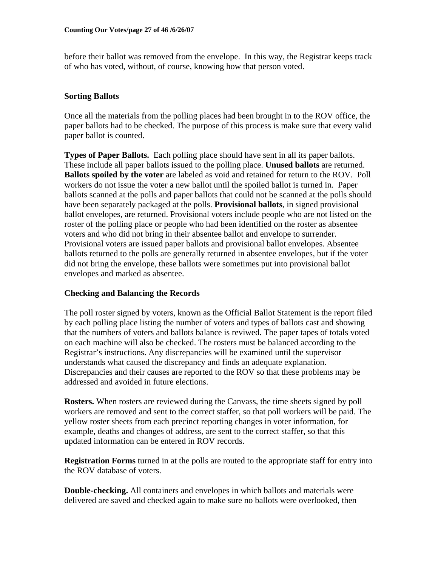before their ballot was removed from the envelope. In this way, the Registrar keeps track of who has voted, without, of course, knowing how that person voted.

# **Sorting Ballots**

Once all the materials from the polling places had been brought in to the ROV office, the paper ballots had to be checked. The purpose of this process is make sure that every valid paper ballot is counted.

**Types of Paper Ballots.** Each polling place should have sent in all its paper ballots. These include all paper ballots issued to the polling place. **Unused ballots** are returned. **Ballots spoiled by the voter** are labeled as void and retained for return to the ROV. Poll workers do not issue the voter a new ballot until the spoiled ballot is turned in. Paper ballots scanned at the polls and paper ballots that could not be scanned at the polls should have been separately packaged at the polls. **Provisional ballots**, in signed provisional ballot envelopes, are returned. Provisional voters include people who are not listed on the roster of the polling place or people who had been identified on the roster as absentee voters and who did not bring in their absentee ballot and envelope to surrender. Provisional voters are issued paper ballots and provisional ballot envelopes. Absentee ballots returned to the polls are generally returned in absentee envelopes, but if the voter did not bring the envelope, these ballots were sometimes put into provisional ballot envelopes and marked as absentee.

# **Checking and Balancing the Records**

The poll roster signed by voters, known as the Official Ballot Statement is the report filed by each polling place listing the number of voters and types of ballots cast and showing that the numbers of voters and ballots balance is reviwed. The paper tapes of totals voted on each machine will also be checked. The rosters must be balanced according to the Registrar's instructions. Any discrepancies will be examined until the supervisor understands what caused the discrepancy and finds an adequate explanation. Discrepancies and their causes are reported to the ROV so that these problems may be addressed and avoided in future elections.

**Rosters.** When rosters are reviewed during the Canvass, the time sheets signed by poll workers are removed and sent to the correct staffer, so that poll workers will be paid. The yellow roster sheets from each precinct reporting changes in voter information, for example, deaths and changes of address, are sent to the correct staffer, so that this updated information can be entered in ROV records.

**Registration Forms** turned in at the polls are routed to the appropriate staff for entry into the ROV database of voters.

**Double-checking.** All containers and envelopes in which ballots and materials were delivered are saved and checked again to make sure no ballots were overlooked, then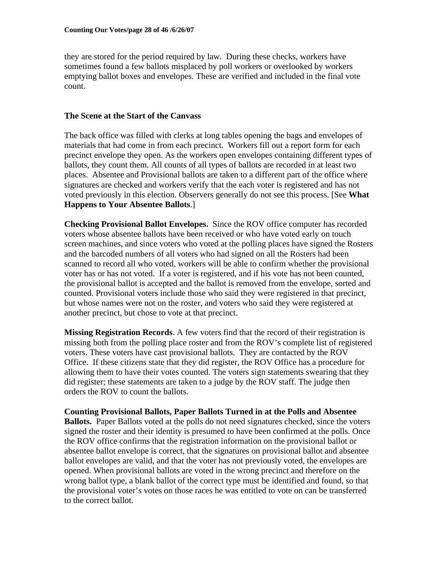they are stored for the period required by law. During these checks, workers have sometimes found a few ballots misplaced by poll workers or overlooked by workers emptying ballot boxes and envelopes. These are verified and included in the final vote count.

### **The Scene at the Start of the Canvass**

The back office was filled with clerks at long tables opening the bags and envelopes of materials that had come in from each precinct. Workers fill out a report form for each precinct envelope they open. As the workers open envelopes containing different types of ballots, they count them. All counts of all types of ballots are recorded in at least two places. Absentee and Provisional ballots are taken to a different part of the office where signatures are checked and workers verify that the each voter is registered and has not voted previously in this election. Observers generally do not see this process. [See **What Happens to Your Absentee Ballots**.]

**Checking Provisional Ballot Envelopes.** Since the ROV office computer has recorded voters whose absentee ballots have been received or who have voted early on touch screen machines, and since voters who voted at the polling places have signed the Rosters and the barcoded numbers of all voters who had signed on all the Rosters had been scanned to record all who voted, workers will be able to confirm whether the provisional voter has or has not voted. If a voter is registered, and if his vote has not been counted, the provisional ballot is accepted and the ballot is removed from the envelope, sorted and counted. Provisional voters include those who said they were registered in that precinct, but whose names were not on the roster, and voters who said they were registered at another precinct, but chose to vote at that precinct.

**Missing Registration Records**. A few voters find that the record of their registration is missing both from the polling place roster and from the ROV's complete list of registered voters. These voters have cast provisional ballots. They are contacted by the ROV Office. If these citizens state that they did register, the ROV Office has a procedure for allowing them to have their votes counted. The voters sign statements swearing that they did register; these statements are taken to a judge by the ROV staff. The judge then orders the ROV to count the ballots.

**Counting Provisional Ballots, Paper Ballots Turned in at the Polls and Absentee Ballots.** Paper Ballots voted at the polls do not need signatures checked, since the voters signed the roster and their identity is presumed to have been confirmed at the polls. Once the ROV office confirms that the registration information on the provisional ballot or absentee ballot envelope is correct, that the signatures on provisional ballot and absentee ballot envelopes are valid, and that the voter has not previously voted, the envelopes are opened. When provisional ballots are voted in the wrong precinct and therefore on the wrong ballot type, a blank ballot of the correct type must be identified and found, so that the provisional voter's votes on those races he was entitled to vote on can be transferred to the correct ballot.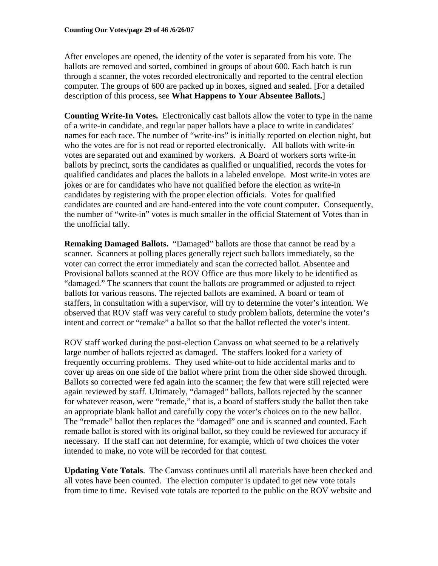After envelopes are opened, the identity of the voter is separated from his vote. The ballots are removed and sorted, combined in groups of about 600. Each batch is run through a scanner, the votes recorded electronically and reported to the central election computer. The groups of 600 are packed up in boxes, signed and sealed. [For a detailed description of this process, see **What Happens to Your Absentee Ballots.**]

**Counting Write-In Votes.** Electronically cast ballots allow the voter to type in the name of a write-in candidate, and regular paper ballots have a place to write in candidates' names for each race. The number of "write-ins" is initially reported on election night, but who the votes are for is not read or reported electronically. All ballots with write-in votes are separated out and examined by workers. A Board of workers sorts write-in ballots by precinct, sorts the candidates as qualified or unqualified, records the votes for qualified candidates and places the ballots in a labeled envelope. Most write-in votes are jokes or are for candidates who have not qualified before the election as write-in candidates by registering with the proper election officials. Votes for qualified candidates are counted and are hand-entered into the vote count computer. Consequently, the number of "write-in" votes is much smaller in the official Statement of Votes than in the unofficial tally.

**Remaking Damaged Ballots.** "Damaged" ballots are those that cannot be read by a scanner. Scanners at polling places generally reject such ballots immediately, so the voter can correct the error immediately and scan the corrected ballot. Absentee and Provisional ballots scanned at the ROV Office are thus more likely to be identified as "damaged." The scanners that count the ballots are programmed or adjusted to reject ballots for various reasons. The rejected ballots are examined. A board or team of staffers, in consultation with a supervisor, will try to determine the voter's intention. We observed that ROV staff was very careful to study problem ballots, determine the voter's intent and correct or "remake" a ballot so that the ballot reflected the voter's intent.

ROV staff worked during the post-election Canvass on what seemed to be a relatively large number of ballots rejected as damaged. The staffers looked for a variety of frequently occurring problems. They used white-out to hide accidental marks and to cover up areas on one side of the ballot where print from the other side showed through. Ballots so corrected were fed again into the scanner; the few that were still rejected were again reviewed by staff. Ultimately, "damaged" ballots, ballots rejected by the scanner for whatever reason, were "remade," that is, a board of staffers study the ballot then take an appropriate blank ballot and carefully copy the voter's choices on to the new ballot. The "remade" ballot then replaces the "damaged" one and is scanned and counted. Each remade ballot is stored with its original ballot, so they could be reviewed for accuracy if necessary. If the staff can not determine, for example, which of two choices the voter intended to make, no vote will be recorded for that contest.

**Updating Vote Totals**. The Canvass continues until all materials have been checked and all votes have been counted. The election computer is updated to get new vote totals from time to time. Revised vote totals are reported to the public on the ROV website and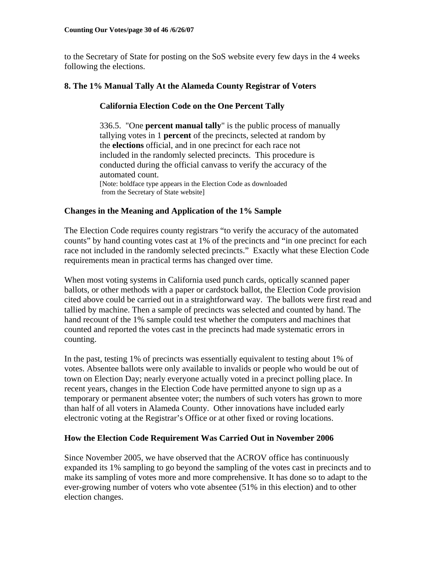to the Secretary of State for posting on the SoS website every few days in the 4 weeks following the elections.

# **8. The 1% Manual Tally At the Alameda County Registrar of Voters**

# **California Election Code on the One Percent Tally**

336.5. "One **percent manual tally**" is the public process of manually tallying votes in 1 **percent** of the precincts, selected at random by the **elections** official, and in one precinct for each race not included in the randomly selected precincts. This procedure is conducted during the official canvass to verify the accuracy of the automated count. [Note: boldface type appears in the Election Code as downloaded from the Secretary of State website]

# **Changes in the Meaning and Application of the 1% Sample**

The Election Code requires county registrars "to verify the accuracy of the automated counts" by hand counting votes cast at 1% of the precincts and "in one precinct for each race not included in the randomly selected precincts." Exactly what these Election Code requirements mean in practical terms has changed over time.

When most voting systems in California used punch cards, optically scanned paper ballots, or other methods with a paper or cardstock ballot, the Election Code provision cited above could be carried out in a straightforward way. The ballots were first read and tallied by machine. Then a sample of precincts was selected and counted by hand. The hand recount of the 1% sample could test whether the computers and machines that counted and reported the votes cast in the precincts had made systematic errors in counting.

In the past, testing 1% of precincts was essentially equivalent to testing about 1% of votes. Absentee ballots were only available to invalids or people who would be out of town on Election Day; nearly everyone actually voted in a precinct polling place. In recent years, changes in the Election Code have permitted anyone to sign up as a temporary or permanent absentee voter; the numbers of such voters has grown to more than half of all voters in Alameda County. Other innovations have included early electronic voting at the Registrar's Office or at other fixed or roving locations.

### **How the Election Code Requirement Was Carried Out in November 2006**

Since November 2005, we have observed that the ACROV office has continuously expanded its 1% sampling to go beyond the sampling of the votes cast in precincts and to make its sampling of votes more and more comprehensive. It has done so to adapt to the ever-growing number of voters who vote absentee (51% in this election) and to other election changes.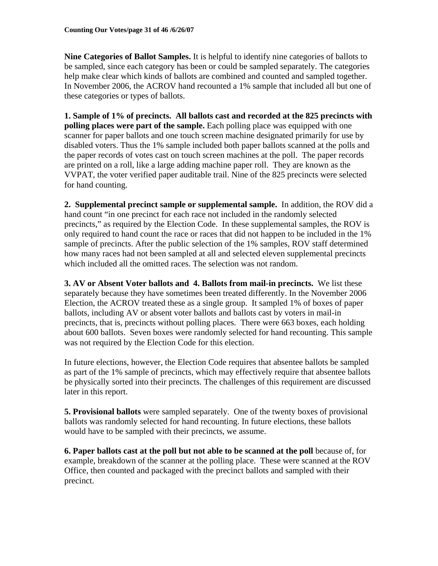**Nine Categories of Ballot Samples.** It is helpful to identify nine categories of ballots to be sampled, since each category has been or could be sampled separately. The categories help make clear which kinds of ballots are combined and counted and sampled together. In November 2006, the ACROV hand recounted a 1% sample that included all but one of these categories or types of ballots.

**1. Sample of 1% of precincts. All ballots cast and recorded at the 825 precincts with polling places were part of the sample.** Each polling place was equipped with one scanner for paper ballots and one touch screen machine designated primarily for use by disabled voters. Thus the 1% sample included both paper ballots scanned at the polls and the paper records of votes cast on touch screen machines at the poll. The paper records are printed on a roll, like a large adding machine paper roll. They are known as the VVPAT, the voter verified paper auditable trail. Nine of the 825 precincts were selected for hand counting.

**2. Supplemental precinct sample or supplemental sample.** In addition, the ROV did a hand count "in one precinct for each race not included in the randomly selected precincts," as required by the Election Code. In these supplemental samples, the ROV is only required to hand count the race or races that did not happen to be included in the 1% sample of precincts. After the public selection of the 1% samples, ROV staff determined how many races had not been sampled at all and selected eleven supplemental precincts which included all the omitted races. The selection was not random.

**3. AV or Absent Voter ballots and 4. Ballots from mail-in precincts.** We list these separately because they have sometimes been treated differently. In the November 2006 Election, the ACROV treated these as a single group. It sampled 1% of boxes of paper ballots, including AV or absent voter ballots and ballots cast by voters in mail-in precincts, that is, precincts without polling places. There were 663 boxes, each holding about 600 ballots. Seven boxes were randomly selected for hand recounting. This sample was not required by the Election Code for this election.

In future elections, however, the Election Code requires that absentee ballots be sampled as part of the 1% sample of precincts, which may effectively require that absentee ballots be physically sorted into their precincts. The challenges of this requirement are discussed later in this report.

**5. Provisional ballots** were sampled separately. One of the twenty boxes of provisional ballots was randomly selected for hand recounting. In future elections, these ballots would have to be sampled with their precincts, we assume.

**6. Paper ballots cast at the poll but not able to be scanned at the poll** because of, for example, breakdown of the scanner at the polling place. These were scanned at the ROV Office, then counted and packaged with the precinct ballots and sampled with their precinct.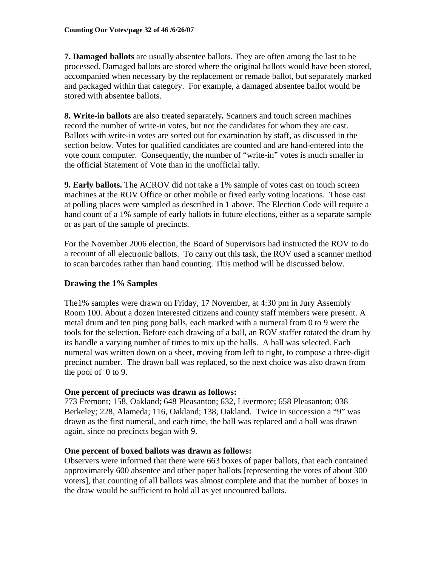**7. Damaged ballots** are usually absentee ballots. They are often among the last to be processed. Damaged ballots are stored where the original ballots would have been stored, accompanied when necessary by the replacement or remade ballot, but separately marked and packaged within that category. For example, a damaged absentee ballot would be stored with absentee ballots.

*8.* **Write-in ballots** are also treated separately*.* Scanners and touch screen machines record the number of write-in votes, but not the candidates for whom they are cast. Ballots with write-in votes are sorted out for examination by staff, as discussed in the section below. Votes for qualified candidates are counted and are hand-entered into the vote count computer. Consequently, the number of "write-in" votes is much smaller in the official Statement of Vote than in the unofficial tally.

**9. Early ballots.** The ACROV did not take a 1% sample of votes cast on touch screen machines at the ROV Office or other mobile or fixed early voting locations. Those cast at polling places were sampled as described in 1 above. The Election Code will require a hand count of a 1% sample of early ballots in future elections, either as a separate sample or as part of the sample of precincts.

For the November 2006 election, the Board of Supervisors had instructed the ROV to do a recount of all electronic ballots. To carry out this task, the ROV used a scanner method to scan barcodes rather than hand counting. This method will be discussed below.

# **Drawing the 1% Samples**

The1% samples were drawn on Friday, 17 November, at 4:30 pm in Jury Assembly Room 100. About a dozen interested citizens and county staff members were present. A metal drum and ten ping pong balls, each marked with a numeral from 0 to 9 were the tools for the selection. Before each drawing of a ball, an ROV staffer rotated the drum by its handle a varying number of times to mix up the balls. A ball was selected. Each numeral was written down on a sheet, moving from left to right, to compose a three-digit precinct number. The drawn ball was replaced, so the next choice was also drawn from the pool of  $0$  to 9.

### **One percent of precincts was drawn as follows:**

773 Fremont; 158, Oakland; 648 Pleasanton; 632, Livermore; 658 Pleasanton; 038 Berkeley; 228, Alameda; 116, Oakland; 138, Oakland. Twice in succession a "9" was drawn as the first numeral, and each time, the ball was replaced and a ball was drawn again, since no precincts began with 9.

### **One percent of boxed ballots was drawn as follows:**

Observers were informed that there were 663 boxes of paper ballots, that each contained approximately 600 absentee and other paper ballots [representing the votes of about 300 voters], that counting of all ballots was almost complete and that the number of boxes in the draw would be sufficient to hold all as yet uncounted ballots.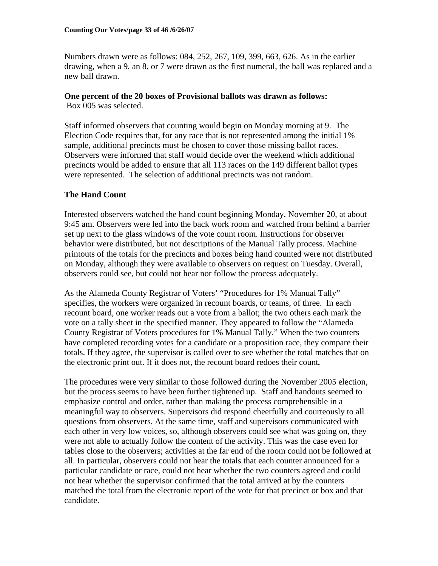Numbers drawn were as follows: 084, 252, 267, 109, 399, 663, 626. As in the earlier drawing, when a 9, an 8, or 7 were drawn as the first numeral, the ball was replaced and a new ball drawn.

## **One percent of the 20 boxes of Provisional ballots was drawn as follows:**

Box 005 was selected.

Staff informed observers that counting would begin on Monday morning at 9. The Election Code requires that, for any race that is not represented among the initial 1% sample, additional precincts must be chosen to cover those missing ballot races. Observers were informed that staff would decide over the weekend which additional precincts would be added to ensure that all 113 races on the 149 different ballot types were represented. The selection of additional precincts was not random.

# **The Hand Count**

Interested observers watched the hand count beginning Monday, November 20, at about 9:45 am. Observers were led into the back work room and watched from behind a barrier set up next to the glass windows of the vote count room. Instructions for observer behavior were distributed, but not descriptions of the Manual Tally process. Machine printouts of the totals for the precincts and boxes being hand counted were not distributed on Monday, although they were available to observers on request on Tuesday. Overall, observers could see, but could not hear nor follow the process adequately.

As the Alameda County Registrar of Voters' "Procedures for 1% Manual Tally" specifies, the workers were organized in recount boards, or teams, of three. In each recount board, one worker reads out a vote from a ballot; the two others each mark the vote on a tally sheet in the specified manner. They appeared to follow the "Alameda County Registrar of Voters procedures for 1% Manual Tally." When the two counters have completed recording votes for a candidate or a proposition race, they compare their totals. If they agree, the supervisor is called over to see whether the total matches that on the electronic print out. If it does not, the recount board redoes their count*.* 

The procedures were very similar to those followed during the November 2005 election, but the process seems to have been further tightened up. Staff and handouts seemed to emphasize control and order, rather than making the process comprehensible in a meaningful way to observers. Supervisors did respond cheerfully and courteously to all questions from observers. At the same time, staff and supervisors communicated with each other in very low voices, so, although observers could see what was going on, they were not able to actually follow the content of the activity. This was the case even for tables close to the observers; activities at the far end of the room could not be followed at all. In particular, observers could not hear the totals that each counter announced for a particular candidate or race, could not hear whether the two counters agreed and could not hear whether the supervisor confirmed that the total arrived at by the counters matched the total from the electronic report of the vote for that precinct or box and that candidate.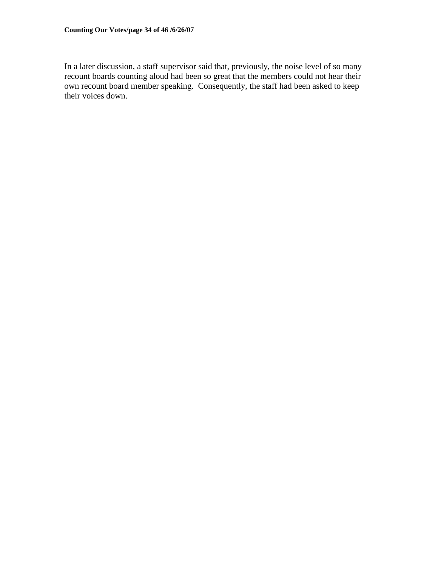In a later discussion, a staff supervisor said that, previously, the noise level of so many recount boards counting aloud had been so great that the members could not hear their own recount board member speaking. Consequently, the staff had been asked to keep their voices down.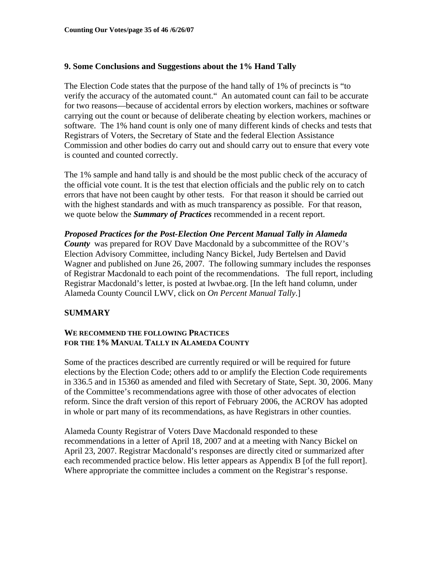### **9. Some Conclusions and Suggestions about the 1% Hand Tally**

The Election Code states that the purpose of the hand tally of 1% of precincts is "to verify the accuracy of the automated count." An automated count can fail to be accurate for two reasons—because of accidental errors by election workers, machines or software carrying out the count or because of deliberate cheating by election workers, machines or software. The 1% hand count is only one of many different kinds of checks and tests that Registrars of Voters, the Secretary of State and the federal Election Assistance Commission and other bodies do carry out and should carry out to ensure that every vote is counted and counted correctly.

The 1% sample and hand tally is and should be the most public check of the accuracy of the official vote count. It is the test that election officials and the public rely on to catch errors that have not been caught by other tests. For that reason it should be carried out with the highest standards and with as much transparency as possible. For that reason, we quote below the *Summary of Practices* recommended in a recent report.

*Proposed Practices for the Post-Election One Percent Manual Tally in Alameda County*was prepared for ROV Dave Macdonald by a subcommittee of the ROV's Election Advisory Committee, including Nancy Bickel, Judy Bertelsen and David Wagner and published on June 26, 2007. The following summary includes the responses of Registrar Macdonald to each point of the recommendations. The full report, including Registrar Macdonald's letter, is posted at lwvbae.org. [In the left hand column, under Alameda County Council LWV, click on *On Percent Manual Tally*.]

### **SUMMARY**

### **WE RECOMMEND THE FOLLOWING PRACTICES FOR THE 1% MANUAL TALLY IN ALAMEDA COUNTY**

Some of the practices described are currently required or will be required for future elections by the Election Code; others add to or amplify the Election Code requirements in 336.5 and in 15360 as amended and filed with Secretary of State, Sept. 30, 2006. Many of the Committee's recommendations agree with those of other advocates of election reform. Since the draft version of this report of February 2006, the ACROV has adopted in whole or part many of its recommendations, as have Registrars in other counties.

Alameda County Registrar of Voters Dave Macdonald responded to these recommendations in a letter of April 18, 2007 and at a meeting with Nancy Bickel on April 23, 2007. Registrar Macdonald's responses are directly cited or summarized after each recommended practice below. His letter appears as Appendix B [of the full report]. Where appropriate the committee includes a comment on the Registrar's response.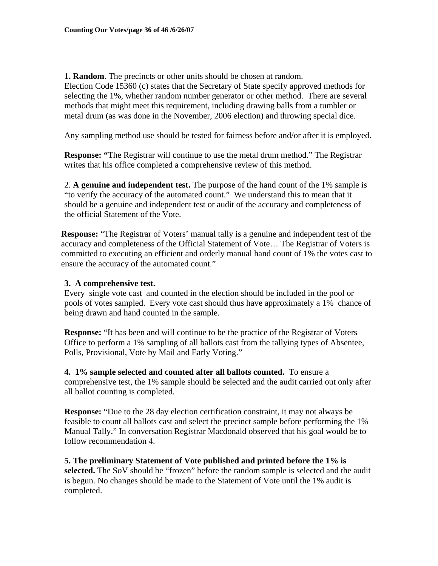**1. Random**. The precincts or other units should be chosen at random. Election Code 15360 (c) states that the Secretary of State specify approved methods for selecting the 1%, whether random number generator or other method. There are several methods that might meet this requirement, including drawing balls from a tumbler or metal drum (as was done in the November, 2006 election) and throwing special dice.

Any sampling method use should be tested for fairness before and/or after it is employed.

**Response: "**The Registrar will continue to use the metal drum method." The Registrar writes that his office completed a comprehensive review of this method.

2. **A genuine and independent test.** The purpose of the hand count of the 1% sample is "to verify the accuracy of the automated count." We understand this to mean that it should be a genuine and independent test or audit of the accuracy and completeness of the official Statement of the Vote.

**Response:** "The Registrar of Voters' manual tally is a genuine and independent test of the accuracy and completeness of the Official Statement of Vote… The Registrar of Voters is committed to executing an efficient and orderly manual hand count of 1% the votes cast to ensure the accuracy of the automated count."

### **3. A comprehensive test.**

Every single vote cast and counted in the election should be included in the pool or pools of votes sampled. Every vote cast should thus have approximately a 1% chance of being drawn and hand counted in the sample.

**Response:** "It has been and will continue to be the practice of the Registrar of Voters Office to perform a 1% sampling of all ballots cast from the tallying types of Absentee, Polls, Provisional, Vote by Mail and Early Voting."

**4. 1% sample selected and counted after all ballots counted.** To ensure a comprehensive test, the 1% sample should be selected and the audit carried out only after all ballot counting is completed.

**Response:** "Due to the 28 day election certification constraint, it may not always be feasible to count all ballots cast and select the precinct sample before performing the 1% Manual Tally." In conversation Registrar Macdonald observed that his goal would be to follow recommendation 4.

**5. The preliminary Statement of Vote published and printed before the 1% is selected.** The SoV should be "frozen" before the random sample is selected and the audit is begun. No changes should be made to the Statement of Vote until the 1% audit is completed.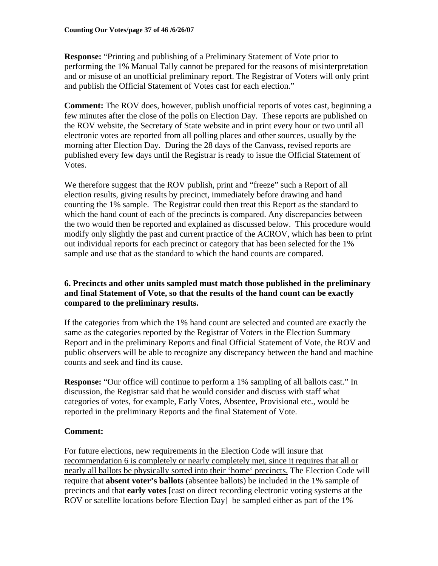**Response:** "Printing and publishing of a Preliminary Statement of Vote prior to performing the 1% Manual Tally cannot be prepared for the reasons of misinterpretation and or misuse of an unofficial preliminary report. The Registrar of Voters will only print and publish the Official Statement of Votes cast for each election."

**Comment:** The ROV does, however, publish unofficial reports of votes cast, beginning a few minutes after the close of the polls on Election Day. These reports are published on the ROV website, the Secretary of State website and in print every hour or two until all electronic votes are reported from all polling places and other sources, usually by the morning after Election Day. During the 28 days of the Canvass, revised reports are published every few days until the Registrar is ready to issue the Official Statement of Votes.

We therefore suggest that the ROV publish, print and "freeze" such a Report of all election results, giving results by precinct, immediately before drawing and hand counting the 1% sample. The Registrar could then treat this Report as the standard to which the hand count of each of the precincts is compared. Any discrepancies between the two would then be reported and explained as discussed below. This procedure would modify only slightly the past and current practice of the ACROV, which has been to print out individual reports for each precinct or category that has been selected for the 1% sample and use that as the standard to which the hand counts are compared.

# **6. Precincts and other units sampled must match those published in the preliminary and final Statement of Vote, so that the results of the hand count can be exactly compared to the preliminary results.**

If the categories from which the 1% hand count are selected and counted are exactly the same as the categories reported by the Registrar of Voters in the Election Summary Report and in the preliminary Reports and final Official Statement of Vote, the ROV and public observers will be able to recognize any discrepancy between the hand and machine counts and seek and find its cause.

**Response:** "Our office will continue to perform a 1% sampling of all ballots cast." In discussion, the Registrar said that he would consider and discuss with staff what categories of votes, for example, Early Votes, Absentee, Provisional etc., would be reported in the preliminary Reports and the final Statement of Vote.

# **Comment:**

For future elections, new requirements in the Election Code will insure that recommendation 6 is completely or nearly completely met, since it requires that all or nearly all ballots be physically sorted into their 'home' precincts. The Election Code will require that **absent voter's ballots** (absentee ballots) be included in the 1% sample of precincts and that **early votes** [cast on direct recording electronic voting systems at the ROV or satellite locations before Election Day] be sampled either as part of the 1%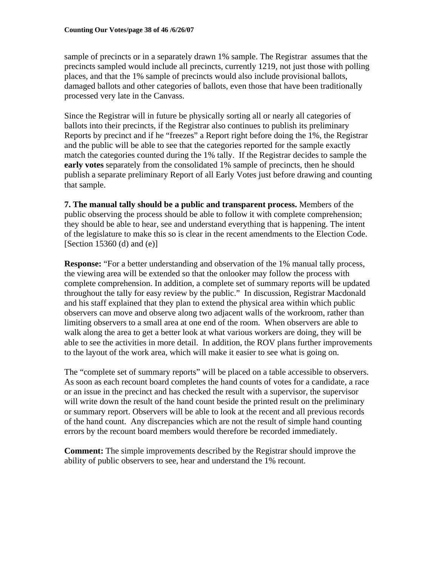sample of precincts or in a separately drawn 1% sample. The Registrar assumes that the precincts sampled would include all precincts, currently 1219, not just those with polling places, and that the 1% sample of precincts would also include provisional ballots, damaged ballots and other categories of ballots, even those that have been traditionally processed very late in the Canvass.

Since the Registrar will in future be physically sorting all or nearly all categories of ballots into their precincts, if the Registrar also continues to publish its preliminary Reports by precinct and if he "freezes" a Report right before doing the 1%, the Registrar and the public will be able to see that the categories reported for the sample exactly match the categories counted during the 1% tally. If the Registrar decides to sample the **early votes** separately from the consolidated 1% sample of precincts, then he should publish a separate preliminary Report of all Early Votes just before drawing and counting that sample.

**7. The manual tally should be a public and transparent process.** Members of the public observing the process should be able to follow it with complete comprehension; they should be able to hear, see and understand everything that is happening. The intent of the legislature to make this so is clear in the recent amendments to the Election Code. [Section 15360 (d) and  $(e)$ ]

**Response:** "For a better understanding and observation of the 1% manual tally process, the viewing area will be extended so that the onlooker may follow the process with complete comprehension. In addition, a complete set of summary reports will be updated throughout the tally for easy review by the public." In discussion, Registrar Macdonald and his staff explained that they plan to extend the physical area within which public observers can move and observe along two adjacent walls of the workroom, rather than limiting observers to a small area at one end of the room. When observers are able to walk along the area to get a better look at what various workers are doing, they will be able to see the activities in more detail. In addition, the ROV plans further improvements to the layout of the work area, which will make it easier to see what is going on.

The "complete set of summary reports" will be placed on a table accessible to observers. As soon as each recount board completes the hand counts of votes for a candidate, a race or an issue in the precinct and has checked the result with a supervisor, the supervisor will write down the result of the hand count beside the printed result on the preliminary or summary report. Observers will be able to look at the recent and all previous records of the hand count. Any discrepancies which are not the result of simple hand counting errors by the recount board members would therefore be recorded immediately.

**Comment:** The simple improvements described by the Registrar should improve the ability of public observers to see, hear and understand the 1% recount.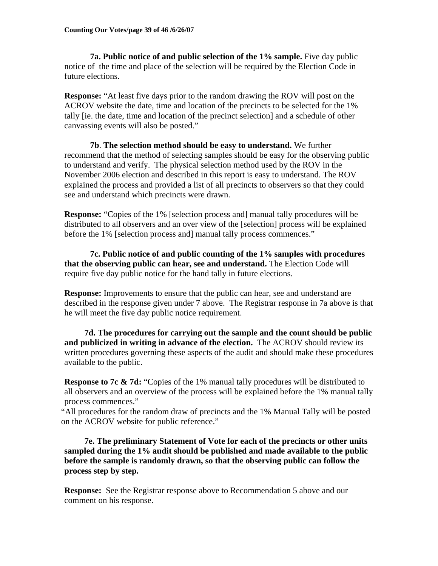**7a. Public notice of and public selection of the 1% sample.** Five day public notice of the time and place of the selection will be required by the Election Code in future elections.

**Response:** "At least five days prior to the random drawing the ROV will post on the ACROV website the date, time and location of the precincts to be selected for the 1% tally [ie. the date, time and location of the precinct selection] and a schedule of other canvassing events will also be posted."

**7b**. **The selection method should be easy to understand.** We further recommend that the method of selecting samples should be easy for the observing public to understand and verify. The physical selection method used by the ROV in the November 2006 election and described in this report is easy to understand. The ROV explained the process and provided a list of all precincts to observers so that they could see and understand which precincts were drawn.

**Response:** "Copies of the 1% [selection process and] manual tally procedures will be distributed to all observers and an over view of the [selection] process will be explained before the 1% [selection process and] manual tally process commences."

 **7c. Public notice of and public counting of the 1% samples with procedures that the observing public can hear, see and understand.** The Election Code will require five day public notice for the hand tally in future elections.

**Response:** Improvements to ensure that the public can hear, see and understand are described in the response given under 7 above. The Registrar response in 7a above is that he will meet the five day public notice requirement.

**7d. The procedures for carrying out the sample and the count should be public and publicized in writing in advance of the election.** The ACROV should review its written procedures governing these aspects of the audit and should make these procedures available to the public.

**Response to 7c & 7d:** "Copies of the 1% manual tally procedures will be distributed to all observers and an overview of the process will be explained before the 1% manual tally process commences."

"All procedures for the random draw of precincts and the 1% Manual Tally will be posted on the ACROV website for public reference."

 **7e. The preliminary Statement of Vote for each of the precincts or other units sampled during the 1% audit should be published and made available to the public before the sample is randomly drawn, so that the observing public can follow the process step by step.** 

**Response:** See the Registrar response above to Recommendation 5 above and our comment on his response.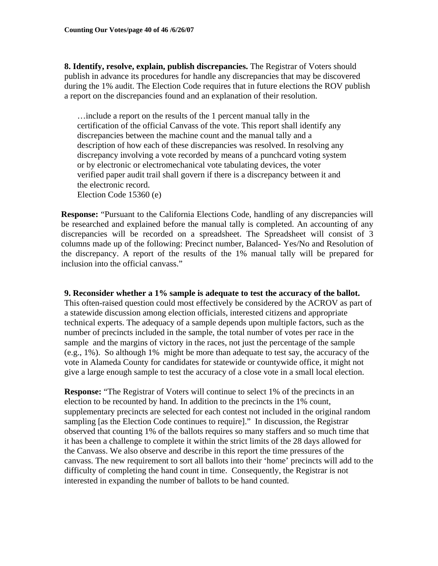**8. Identify, resolve, explain, publish discrepancies.** The Registrar of Voters should publish in advance its procedures for handle any discrepancies that may be discovered during the 1% audit. The Election Code requires that in future elections the ROV publish a report on the discrepancies found and an explanation of their resolution.

…include a report on the results of the 1 percent manual tally in the certification of the official Canvass of the vote. This report shall identify any discrepancies between the machine count and the manual tally and a description of how each of these discrepancies was resolved. In resolving any discrepancy involving a vote recorded by means of a punchcard voting system or by electronic or electromechanical vote tabulating devices, the voter verified paper audit trail shall govern if there is a discrepancy between it and the electronic record. Election Code 15360 (e)

**Response:** "Pursuant to the California Elections Code, handling of any discrepancies will be researched and explained before the manual tally is completed. An accounting of any discrepancies will be recorded on a spreadsheet. The Spreadsheet will consist of 3 columns made up of the following: Precinct number, Balanced- Yes/No and Resolution of the discrepancy. A report of the results of the 1% manual tally will be prepared for inclusion into the official canvass."

### **9. Reconsider whether a 1% sample is adequate to test the accuracy of the ballot.**

This often-raised question could most effectively be considered by the ACROV as part of a statewide discussion among election officials, interested citizens and appropriate technical experts. The adequacy of a sample depends upon multiple factors, such as the number of precincts included in the sample, the total number of votes per race in the sample and the margins of victory in the races, not just the percentage of the sample (e.g., 1%). So although 1% might be more than adequate to test say, the accuracy of the vote in Alameda County for candidates for statewide or countywide office, it might not give a large enough sample to test the accuracy of a close vote in a small local election.

**Response:** "The Registrar of Voters will continue to select 1% of the precincts in an election to be recounted by hand. In addition to the precincts in the 1% count, supplementary precincts are selected for each contest not included in the original random sampling [as the Election Code continues to require]." In discussion, the Registrar observed that counting 1% of the ballots requires so many staffers and so much time that it has been a challenge to complete it within the strict limits of the 28 days allowed for the Canvass. We also observe and describe in this report the time pressures of the canvass. The new requirement to sort all ballots into their 'home' precincts will add to the difficulty of completing the hand count in time. Consequently, the Registrar is not interested in expanding the number of ballots to be hand counted.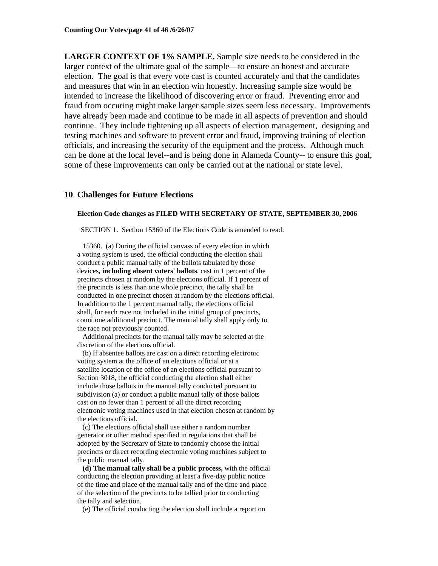**LARGER CONTEXT OF 1% SAMPLE.** Sample size needs to be considered in the larger context of the ultimate goal of the sample—to ensure an honest and accurate election. The goal is that every vote cast is counted accurately and that the candidates and measures that win in an election win honestly. Increasing sample size would be intended to increase the likelihood of discovering error or fraud. Preventing error and fraud from occuring might make larger sample sizes seem less necessary. Improvements have already been made and continue to be made in all aspects of prevention and should continue. They include tightening up all aspects of election management, designing and testing machines and software to prevent error and fraud, improving training of election officials, and increasing the security of the equipment and the process. Although much can be done at the local level--and is being done in Alameda County-- to ensure this goal, some of these improvements can only be carried out at the national or state level.

#### **10**. **Challenges for Future Elections**

#### **Election Code changes as FILED WITH SECRETARY OF STATE, SEPTEMBER 30, 2006**

SECTION 1. Section 15360 of the Elections Code is amended to read:

 15360. (a) During the official canvass of every election in which a voting system is used, the official conducting the election shall conduct a public manual tally of the ballots tabulated by those devices**, including absent voters' ballots**, cast in 1 percent of the precincts chosen at random by the elections official. If 1 percent of the precincts is less than one whole precinct, the tally shall be conducted in one precinct chosen at random by the elections official. In addition to the 1 percent manual tally, the elections official shall, for each race not included in the initial group of precincts, count one additional precinct. The manual tally shall apply only to the race not previously counted.

 Additional precincts for the manual tally may be selected at the discretion of the elections official.

 (b) If absentee ballots are cast on a direct recording electronic voting system at the office of an elections official or at a satellite location of the office of an elections official pursuant to Section 3018, the official conducting the election shall either include those ballots in the manual tally conducted pursuant to subdivision (a) or conduct a public manual tally of those ballots cast on no fewer than 1 percent of all the direct recording electronic voting machines used in that election chosen at random by the elections official.

 (c) The elections official shall use either a random number generator or other method specified in regulations that shall be adopted by the Secretary of State to randomly choose the initial precincts or direct recording electronic voting machines subject to the public manual tally.

 **(d) The manual tally shall be a public process,** with the official conducting the election providing at least a five-day public notice of the time and place of the manual tally and of the time and place of the selection of the precincts to be tallied prior to conducting the tally and selection.

(e) The official conducting the election shall include a report on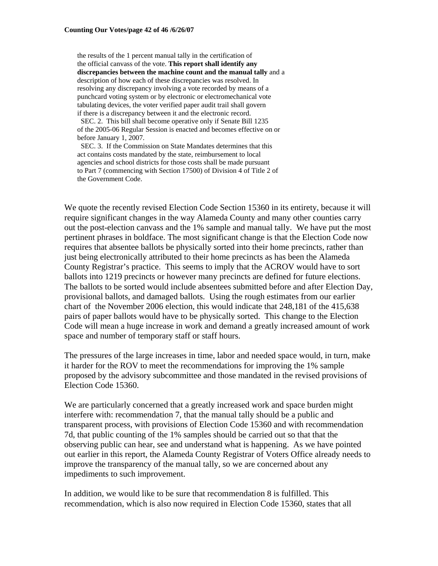the results of the 1 percent manual tally in the certification of the official canvass of the vote. **This report shall identify any discrepancies between the machine count and the manual tally** and a description of how each of these discrepancies was resolved. In resolving any discrepancy involving a vote recorded by means of a punchcard voting system or by electronic or electromechanical vote tabulating devices, the voter verified paper audit trail shall govern if there is a discrepancy between it and the electronic record.

 SEC. 2. This bill shall become operative only if Senate Bill 1235 of the 2005-06 Regular Session is enacted and becomes effective on or before January 1, 2007.

 SEC. 3. If the Commission on State Mandates determines that this act contains costs mandated by the state, reimbursement to local agencies and school districts for those costs shall be made pursuant to Part 7 (commencing with Section 17500) of Division 4 of Title 2 of the Government Code.

We quote the recently revised Election Code Section 15360 in its entirety, because it will require significant changes in the way Alameda County and many other counties carry out the post-election canvass and the 1% sample and manual tally. We have put the most pertinent phrases in boldface. The most significant change is that the Election Code now requires that absentee ballots be physically sorted into their home precincts, rather than just being electronically attributed to their home precincts as has been the Alameda County Registrar's practice. This seems to imply that the ACROV would have to sort ballots into 1219 precincts or however many precincts are defined for future elections. The ballots to be sorted would include absentees submitted before and after Election Day, provisional ballots, and damaged ballots. Using the rough estimates from our earlier chart of the November 2006 election, this would indicate that 248,181 of the 415,638 pairs of paper ballots would have to be physically sorted. This change to the Election Code will mean a huge increase in work and demand a greatly increased amount of work space and number of temporary staff or staff hours.

The pressures of the large increases in time, labor and needed space would, in turn, make it harder for the ROV to meet the recommendations for improving the 1% sample proposed by the advisory subcommittee and those mandated in the revised provisions of Election Code 15360.

We are particularly concerned that a greatly increased work and space burden might interfere with: recommendation 7, that the manual tally should be a public and transparent process, with provisions of Election Code 15360 and with recommendation 7d, that public counting of the 1% samples should be carried out so that that the observing public can hear, see and understand what is happening. As we have pointed out earlier in this report, the Alameda County Registrar of Voters Office already needs to improve the transparency of the manual tally, so we are concerned about any impediments to such improvement.

In addition, we would like to be sure that recommendation 8 is fulfilled. This recommendation, which is also now required in Election Code 15360, states that all